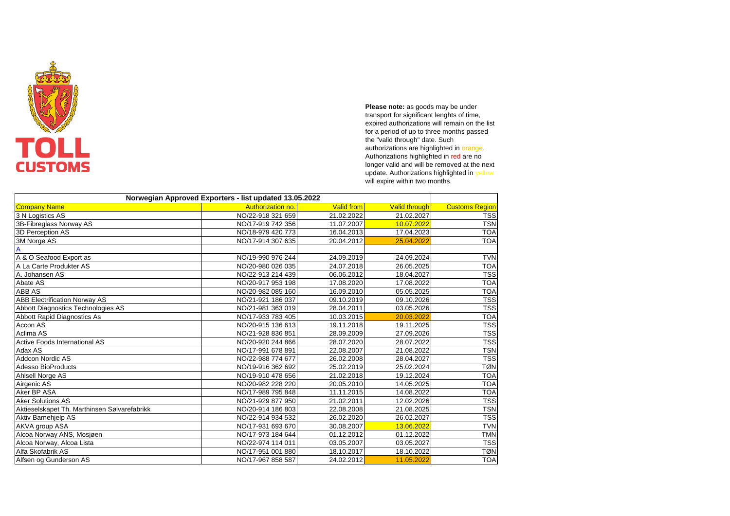|                                              | Norwegian Approved Exporters - list updated 13.05.2022 |                   |                      |                       |
|----------------------------------------------|--------------------------------------------------------|-------------------|----------------------|-----------------------|
| <b>Company Name</b>                          | <b>Authorization no</b>                                | <b>Valid from</b> | <b>Valid through</b> | <b>Customs Region</b> |
| 3 N Logistics AS                             | NO/22-918 321 659                                      | 21.02.2022        | 21.02.2027           | <b>TSS</b>            |
| 3B-Fibreglass Norway AS                      | NO/17-919 742 356                                      | 11.07.2007        | 10.07.2022           | <b>TSN</b>            |
| 3D Perception AS                             | NO/18-979 420 773                                      | 16.04.2013        | 17.04.2023           | <b>TOA</b>            |
| 3M Norge AS                                  | NO/17-914 307 635                                      | 20.04.2012        | 25.04.2022           | <b>TOA</b>            |
|                                              |                                                        |                   |                      |                       |
| A & O Seafood Export as                      | NO/19-990 976 244                                      | 24.09.2019        | 24.09.2024           | <b>TVN</b>            |
| A La Carte Produkter AS                      | NO/20-980 026 035                                      | 24.07.2018        | 26.05.2025           | <b>TOA</b>            |
| A. Johansen AS                               | NO/22-913 214 439                                      | 06.06.2012        | 18.04.2027           | <b>TSS</b>            |
| Abate AS                                     | NO/20-917 953 198                                      | 17.08.2020        | 17.08.2022           | <b>TOA</b>            |
| <b>ABB AS</b>                                | NO/20-982 085 160                                      | 16.09.2010        | 05.05.2025           | <b>TOA</b>            |
| <b>ABB Electrification Norway AS</b>         | NO/21-921 186 037                                      | 09.10.2019        | 09.10.2026           | <b>TSS</b>            |
| Abbott Diagnostics Technologies AS           | NO/21-981 363 019                                      | 28.04.2011        | 03.05.2026           | <b>TSS</b>            |
| <b>Abbott Rapid Diagnostics As</b>           | NO/17-933 783 405                                      | 10.03.2015        | 20.03.2022           | <b>TOA</b>            |
| Accon AS                                     | NO/20-915 136 613                                      | 19.11.2018        | 19.11.2025           | <b>TSS</b>            |
| Aclima AS                                    | NO/21-928 836 851                                      | 28.09.2009        | 27.09.2026           | <b>TSS</b>            |
| <b>Active Foods International AS</b>         | NO/20-920 244 866                                      | 28.07.2020        | 28.07.2022           | <b>TSS</b>            |
| Adax AS                                      | NO/17-991 678 891                                      | 22.08.2007        | 21.08.2022           | <b>TSN</b>            |
| Addcon Nordic AS                             | NO/22-988 774 677                                      | 26.02.2008        | 28.04.2027           | <b>TSS</b>            |
| <b>Adesso BioProducts</b>                    | NO/19-916 362 692                                      | 25.02.2019        | 25.02.2024           | <b>TØN</b>            |
| Ahlsell Norge AS                             | NO/19-910 478 656                                      | 21.02.2018        | 19.12.2024           | <b>TOA</b>            |
| Airgenic AS                                  | NO/20-982 228 220                                      | 20.05.2010        | 14.05.2025           | <b>TOA</b>            |
| Aker BP ASA                                  | NO/17-989 795 848                                      | 11.11.2015        | 14.08.2022           | <b>TOA</b>            |
| <b>Aker Solutions AS</b>                     | NO/21-929 877 950                                      | 21.02.2011        | 12.02.2026           | <b>TSS</b>            |
| Aktieselskapet Th. Marthinsen Sølvarefabrikk | NO/20-914 186 803                                      | 22.08.2008        | 21.08.2025           | <b>TSN</b>            |
| <b>Aktiv Barnehjelp AS</b>                   | NO/22-914 934 532                                      | 26.02.2020        | 26.02.2027           | <b>TSS</b>            |
| <b>AKVA</b> group ASA                        | NO/17-931 693 670                                      | 30.08.2007        | 13.06.2022           | <b>TVN</b>            |
| Alcoa Norway ANS, Mosjøen                    | NO/17-973 184 644                                      | 01.12.2012        | 01.12.2022           | <b>TMN</b>            |
| Alcoa Norway, Alcoa Lista                    | NO/22-974 114 011                                      | 03.05.2007        | 03.05.2027           | <b>TSS</b>            |
| Alfa Skofabrik AS                            | NO/17-951 001 880                                      | 18.10.2017        | 18.10.2022           | <b>TØN</b>            |
| Alfsen og Gunderson AS                       | NO/17-967 858 587                                      | 24.02.2012        | 11.05.2022           | <b>TOA</b>            |



**Please note:** as goods may be under transport for significant lenghts of time, expired authorizations will remain on the list for a period of up to three months passed the "valid through" date. Such authorizations are highlighted in orange. Authorizations highlighted in red are no longer valid and will be removed at the next update. Authorizations highlighted in yellow will expire within two months.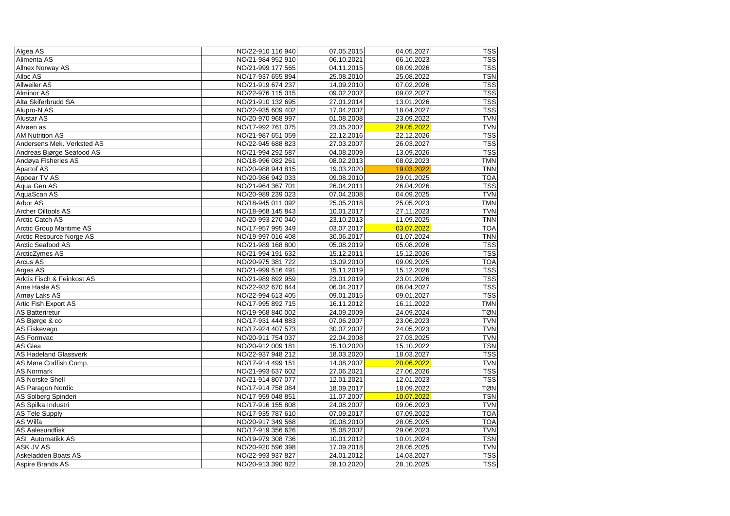| Algea AS                        | NO/22-910 116 940 | 07.05.2015 | 04.05.2027 | <b>TSS</b> |
|---------------------------------|-------------------|------------|------------|------------|
| Alimenta AS                     | NO/21-984 952 910 | 06.10.2021 | 06.10.2023 | <b>TSS</b> |
| <b>Allnex Norway AS</b>         | NO/21-999 177 565 | 04.11.2015 | 08.09.2026 | <b>TSS</b> |
| Alloc AS                        | NO/17-937 655 894 | 25.08.2010 | 25.08.2022 | <b>TSN</b> |
| <b>Allweiler AS</b>             | NO/21-919 674 237 | 14.09.2010 | 07.02.2026 | <b>TSS</b> |
| <b>Alminor AS</b>               | NO/22-976 115 015 | 09.02.2007 | 09.02.2027 | <b>TSS</b> |
| Alta Skiferbrudd SA             | NO/21-910 132 695 | 27.01.2014 | 13.01.2026 | <b>TSS</b> |
| Alupro-N AS                     | NO/22-935 609 402 | 17.04.2007 | 18.04.2027 | <b>TSS</b> |
| <b>Alustar AS</b>               | NO/20-970 968 997 | 01.08.2008 | 23.09.2022 | <b>TVN</b> |
| Alvøen as                       | NO/17-992 761 075 | 23.05.2007 | 29.05.2022 | <b>TVN</b> |
| <b>AM Nutrition AS</b>          | NO/21-987 651 059 | 22.12.2016 | 22.12.2026 | <b>TSS</b> |
| Andersens Mek. Verksted AS      | NO/22-945 688 823 | 27.03.2007 | 26.03.2027 | <b>TSS</b> |
| Andreas Bjørge Seafood AS       | NO/21-994 292 587 | 04.08.2009 | 13.09.2026 | <b>TSS</b> |
| Andøya Fisheries AS             | NO/18-996 082 261 | 08.02.2013 | 08.02.2023 | <b>TMN</b> |
| <b>Apartof AS</b>               | NO/20-988 944 815 | 19.03.2020 | 19.03.2022 | <b>TNN</b> |
| Appear TV AS                    | NO/20-986 942 033 | 09.08.2010 | 29.01.2025 | <b>TOA</b> |
| Aqua Gen AS                     | NO/21-964 367 701 | 26.04.2011 | 26.04.2026 | <b>TSS</b> |
| AquaScan AS                     | NO/20-989 239 023 | 07.04.2008 | 04.09.2025 | <b>TVN</b> |
| Arbor AS                        | NO/18-945 011 092 | 25.05.2018 | 25.05.2023 | <b>TMN</b> |
| <b>Archer Oiltools AS</b>       | NO/18-968 145 843 | 10.01.2017 | 27.11.2023 | <b>TVN</b> |
| <b>Arctic Catch AS</b>          | NO/20-993 270 040 | 23.10.2013 | 11.09.2025 | <b>TNN</b> |
| <b>Arctic Group Maritime AS</b> | NO/17-957 995 349 | 03.07.2017 | 03.07.2022 | <b>TOA</b> |
| Arctic Resource Norge AS        | NO/19-997 016 408 | 30.06.2017 | 01.07.2024 | <b>TNN</b> |
| <b>Arctic Seafood AS</b>        | NO/21-989 168 800 | 05.08.2019 | 05.08.2026 | <b>TSS</b> |
| ArcticZymes AS                  | NO/21-994 191 632 | 15.12.2011 | 15.12.2026 | <b>TSS</b> |
| <b>Arcus AS</b>                 | NO/20-975 381 722 | 13.09.2010 | 09.09.2025 | <b>TOA</b> |
| Arges AS                        | NO/21-999 516 491 | 15.11.2019 | 15.12.2026 | <b>TSS</b> |
| Arktis Fisch & Feinkost AS      | NO/21-989 892 959 | 23.01.2019 | 23.01.2026 | <b>TSS</b> |
| <b>Arne Hasle AS</b>            | NO/22-932 670 844 | 06.04.2017 | 06.04.2027 | <b>TSS</b> |
| Arnøy Laks AS                   | NO/22-994 613 405 | 09.01.2015 | 09.01.2027 | <b>TSS</b> |
| Artic Fish Export AS            | NO/17-995 892 715 | 16.11.2012 | 16.11.2022 | <b>TMN</b> |
| <b>AS Batteriretur</b>          | NO/19-968 840 002 | 24.09.2009 | 24.09.2024 | <b>TØN</b> |
| AS Bjørge & co                  | NO/17-931 444 883 | 07.06.2007 | 23.06.2023 | <b>TVN</b> |
| <b>AS Fiskevegn</b>             | NO/17-924 407 573 | 30.07.2007 | 24.05.2023 | <b>TVN</b> |
| <b>AS Formvac</b>               | NO/20-911 754 037 | 22.04.2008 | 27.03.2025 | <b>TVN</b> |
| AS Glea                         | NO/20-912 009 181 | 15.10.2020 | 15.10.2022 | <b>TSN</b> |
| <b>AS Hadeland Glassverk</b>    | NO/22-937 948 212 | 18.03.2020 | 18.03.2027 | <b>TSS</b> |
| <b>AS Møre Codfish Comp.</b>    | NO/17-914 499 151 | 14.08.2007 | 20.06.2022 | <b>TVN</b> |
| <b>AS Normark</b>               | NO/21-993 637 602 | 27.06.2021 | 27.06.2026 | <b>TSS</b> |
| <b>AS Norske Shell</b>          | NO/21-914 807 077 | 12.01.2021 | 12.01.2023 | <b>TSS</b> |
| <b>AS Paragon Nordic</b>        | NO/17-914 758 084 | 18.09.2017 | 18.09.2022 | <b>TØN</b> |
| AS Solberg Spinderi             | NO/17-959 048 851 | 11.07.2007 | 10.07.2022 | <b>TSN</b> |
| AS Spilka Industri              | NO/17-916 155 808 | 24.08.2007 | 09.06.2023 | <b>TVN</b> |
| <b>AS Tele Supply</b>           | NO/17-935 787 610 | 07.09.2017 | 07.09.2022 | <b>TOA</b> |
| <b>AS Wilfa</b>                 | NO/20-917 349 568 | 20.08.2010 | 28.05.2025 | <b>TOA</b> |
| <b>AS Aalesundfisk</b>          | NO/17-919 356 626 | 15.08.2007 | 29.06.2023 | <b>TVN</b> |
| <b>ASI</b> Automatikk AS        | NO/19-979 308 736 | 10.01.2012 | 10.01.2024 | <b>TSN</b> |
| <b>ASK JV AS</b>                | NO/20-920 596 398 | 17.09.2018 | 28.05.2025 | <b>TVN</b> |
| Askeladden Boats AS             | NO/22-993 937 827 | 24.01.2012 | 14.03.2027 | <b>TSS</b> |
| Aspire Brands AS                | NO/20-913 390 822 | 28.10.2020 | 28.10.2025 | <b>TSS</b> |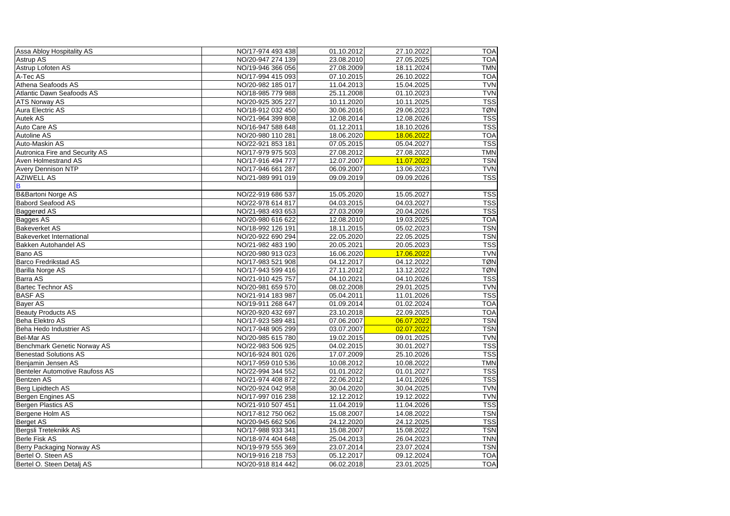| Assa Abloy Hospitality AS             | NO/17-974 493 438 | 01.10.2012 | 27.10.2022 | <b>TOA</b> |
|---------------------------------------|-------------------|------------|------------|------------|
| <b>Astrup AS</b>                      | NO/20-947 274 139 | 23.08.2010 | 27.05.2025 | <b>TOA</b> |
| Astrup Lofoten AS                     | NO/19-946 366 056 | 27.08.2009 | 18.11.2024 | <b>TMN</b> |
| A-Tec AS                              | NO/17-994 415 093 | 07.10.2015 | 26.10.2022 | <b>TOA</b> |
| Athena Seafoods AS                    | NO/20-982 185 017 | 11.04.2013 | 15.04.2025 | <b>TVN</b> |
| Atlantic Dawn Seafoods AS             | NO/18-985 779 988 | 25.11.2008 | 01.10.2023 | <b>TVN</b> |
| <b>ATS Norway AS</b>                  | NO/20-925 305 227 | 10.11.2020 | 10.11.2025 | <b>TSS</b> |
| Aura Electric AS                      | NO/18-912 032 450 | 30.06.2016 | 29.06.2023 | <b>TØN</b> |
| <b>Autek AS</b>                       | NO/21-964 399 808 | 12.08.2014 | 12.08.2026 | <b>TSS</b> |
| <b>Auto Care AS</b>                   | NO/16-947 588 648 | 01.12.2011 | 18.10.2026 | <b>TSS</b> |
| <b>Autoline AS</b>                    | NO/20-980 110 281 | 18.06.2020 | 18.06.2022 | <b>TOA</b> |
| Auto-Maskin AS                        | NO/22-921 853 181 | 07.05.2015 | 05.04.2027 | <b>TSS</b> |
| <b>Autronica Fire and Security AS</b> | NO/17-979 975 503 | 27.08.2012 | 27.08.2022 | <b>TMN</b> |
| <b>Aven Holmestrand AS</b>            | NO/17-916 494 777 | 12.07.2007 | 11.07.2022 | <b>TSN</b> |
| <b>Avery Dennison NTP</b>             | NO/17-946 661 287 | 06.09.2007 | 13.06.2023 | <b>TVN</b> |
| <b>AZIWELL AS</b>                     | NO/21-989 991 019 | 09.09.2019 | 09.09.2026 | <b>TSS</b> |
| $\overline{\mathsf{B}}$               |                   |            |            |            |
| <b>B&amp;Bartoni Norge AS</b>         | NO/22-919 686 537 | 15.05.2020 | 15.05.2027 | <b>TSS</b> |
| <b>Babord Seafood AS</b>              | NO/22-978 614 817 | 04.03.2015 | 04.03.2027 | <b>TSS</b> |
| Baggerød AS                           | NO/21-983 493 653 | 27.03.2009 | 20.04.2026 | <b>TSS</b> |
| <b>Bagges AS</b>                      | NO/20-980 616 622 | 12.08.2010 | 19.03.2025 | <b>TOA</b> |
| <b>Bakeverket AS</b>                  | NO/18-992 126 191 | 18.11.2015 | 05.02.2023 | <b>TSN</b> |
| <b>Bakeverket International</b>       | NO/20-922 690 294 | 22.05.2020 | 22.05.2025 | <b>TSN</b> |
| <b>Bakken Autohandel AS</b>           | NO/21-982 483 190 | 20.05.2021 | 20.05.2023 | <b>TSS</b> |
| <b>Bano AS</b>                        | NO/20-980 913 023 | 16.06.2020 | 17.06.2022 | <b>TVN</b> |
| <b>Barco Fredrikstad AS</b>           | NO/17-983 521 908 | 04.12.2017 | 04.12.2022 | <b>TØN</b> |
| <b>Barilla Norge AS</b>               | NO/17-943 599 416 | 27.11.2012 | 13.12.2022 | <b>TØN</b> |
| <b>Barra AS</b>                       | NO/21-910 425 757 | 04.10.2021 | 04.10.2026 | <b>TSS</b> |
| <b>Bartec Technor AS</b>              | NO/20-981 659 570 | 08.02.2008 | 29.01.2025 | <b>TVN</b> |
| <b>BASF AS</b>                        | NO/21-914 183 987 | 05.04.2011 | 11.01.2026 | <b>TSS</b> |
| <b>Bayer AS</b>                       | NO/19-911 268 647 | 01.09.2014 | 01.02.2024 | <b>TOA</b> |
| <b>Beauty Products AS</b>             | NO/20-920 432 697 | 23.10.2018 | 22.09.2025 | <b>TOA</b> |
| <b>Beha Elektro AS</b>                | NO/17-923 589 481 | 07.06.2007 | 06.07.2022 | <b>TSN</b> |
| Beha Hedo Industrier AS               | NO/17-948 905 299 | 03.07.2007 | 02.07.2022 | <b>TSN</b> |
| Bel-Mar AS                            | NO/20-985 615 780 | 19.02.2015 | 09.01.2025 | <b>TVN</b> |
| Benchmark Genetic Norway AS           | NO/22-983 506 925 | 04.02.2015 | 30.01.2027 | <b>TSS</b> |
| <b>Benestad Solutions AS</b>          | NO/16-924 801 026 | 17.07.2009 | 25.10.2026 | <b>TSS</b> |
| Benjamin Jensen AS                    | NO/17-959 010 536 | 10.08.2012 | 10.08.2022 | <b>TMN</b> |
| Benteler Automotive Raufoss AS        | NO/22-994 344 552 | 01.01.2022 | 01.01.2027 | <b>TSS</b> |
| <b>Bentzen AS</b>                     | NO/21-974 408 872 | 22.06.2012 | 14.01.2026 | <b>TSS</b> |
| Berg Lipidtech AS                     | NO/20-924 042 958 | 30.04.2020 | 30.04.2025 | <b>TVN</b> |
| Bergen Engines AS                     | NO/17-997 016 238 | 12.12.2012 | 19.12.2022 | <b>TVN</b> |
| Bergen Plastics AS                    | NO/21-910 507 451 | 11.04.2019 | 11.04.2026 | <b>TSS</b> |
| Bergene Holm AS                       | NO/17-812 750 062 | 15.08.2007 | 14.08.2022 | <b>TSN</b> |
| Berget AS                             | NO/20-945 662 506 | 24.12.2020 | 24.12.2025 | <b>TSS</b> |
| Bergsli Treteknikk AS                 | NO/17-988 933 341 | 15.08.2007 | 15.08.2022 | <b>TSN</b> |
| Berle Fisk AS                         | NO/18-974 404 648 | 25.04.2013 | 26.04.2023 | <b>TNN</b> |
| Berry Packaging Norway AS             | NO/19-979 555 369 | 23.07.2014 | 23.07.2024 | <b>TSN</b> |
| Bertel O. Steen AS                    | NO/19-916 218 753 | 05.12.2017 | 09.12.2024 | <b>TOA</b> |
| Bertel O. Steen Detalj AS             | NO/20-918 814 442 | 06.02.2018 | 23.01.2025 | <b>TOA</b> |
|                                       |                   |            |            |            |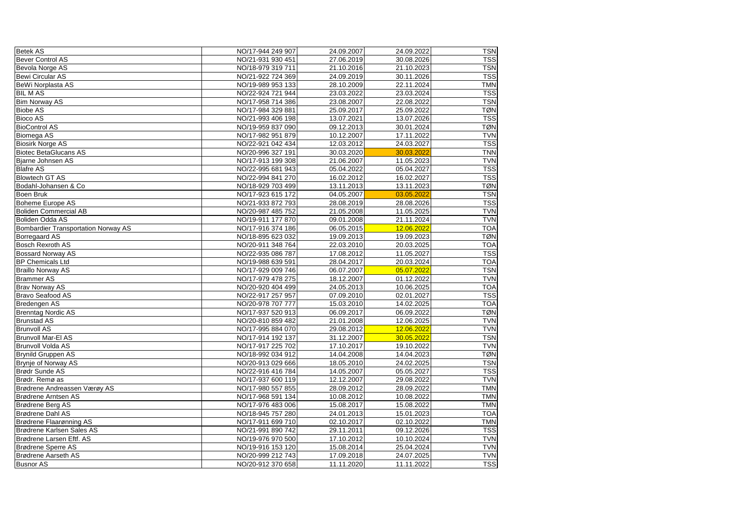| <b>Betek AS</b>                            | NO/17-944 249 907 | 24.09.2007 | 24.09.2022 | <b>TSN</b> |
|--------------------------------------------|-------------------|------------|------------|------------|
| <b>Bever Control AS</b>                    | NO/21-931 930 451 | 27.06.2019 | 30.08.2026 | <b>TSS</b> |
| Bevola Norge AS                            | NO/18-979 319 711 | 21.10.2016 | 21.10.2023 | <b>TSN</b> |
| Bewi Circular AS                           | NO/21-922 724 369 | 24.09.2019 | 30.11.2026 | <b>TSS</b> |
| BeWi Norplasta AS                          | NO/19-989 953 133 | 28.10.2009 | 22.11.2024 | <b>TMN</b> |
| <b>BIL MAS</b>                             | NO/22-924 721 944 | 23.03.2022 | 23.03.2024 | <b>TSS</b> |
| <b>Bim Norway AS</b>                       | NO/17-958 714 386 | 23.08.2007 | 22.08.2022 | <b>TSN</b> |
| <b>Biobe AS</b>                            | NO/17-984 329 881 | 25.09.2017 | 25.09.2022 | <b>TØN</b> |
| <b>Bioco AS</b>                            | NO/21-993 406 198 | 13.07.2021 | 13.07.2026 | <b>TSS</b> |
| <b>BioControl AS</b>                       | NO/19-959 837 090 | 09.12.2013 | 30.01.2024 | <b>TØN</b> |
| Biomega AS                                 | NO/17-982 951 879 | 10.12.2007 | 17.11.2022 | <b>TVN</b> |
| <b>Biosirk Norge AS</b>                    | NO/22-921 042 434 | 12.03.2012 | 24.03.2027 | <b>TSS</b> |
| <b>Biotec BetaGlucans AS</b>               | NO/20-996 327 191 | 30.03.2020 | 30.03.2022 | <b>TNN</b> |
| Bjarne Johnsen AS                          | NO/17-913 199 308 | 21.06.2007 | 11.05.2023 | <b>TVN</b> |
| <b>Blafre AS</b>                           | NO/22-995 681 943 | 05.04.2022 | 05.04.2027 | <b>TSS</b> |
| <b>Blowtech GT AS</b>                      | NO/22-994 841 270 | 16.02.2012 | 16.02.2027 | <b>TSS</b> |
| Bodahl-Johansen & Co                       | NO/18-929 703 499 | 13.11.2013 | 13.11.2023 | <b>TØN</b> |
| <b>Boen Bruk</b>                           | NO/17-923 615 172 | 04.05.2007 | 03.05.2022 | <b>TSN</b> |
| Boheme Europe AS                           | NO/21-933 872 793 | 28.08.2019 | 28.08.2026 | <b>TSS</b> |
| <b>Boliden Commercial AB</b>               | NO/20-987 485 752 | 21.05.2008 | 11.05.2025 | <b>TVN</b> |
| Boliden Odda AS                            | NO/19-911 177 870 | 09.01.2008 | 21.11.2024 | <b>TVN</b> |
| <b>Bombardier Transportation Norway AS</b> | NO/17-916 374 186 | 06.05.2015 | 12.06.2022 | <b>TOA</b> |
| <b>Borregaard AS</b>                       | NO/18-895 623 032 | 19.09.2013 | 19.09.2023 | <b>TØN</b> |
| <b>Bosch Rexroth AS</b>                    | NO/20-911 348 764 | 22.03.2010 | 20.03.2025 | <b>TOA</b> |
| <b>Bossard Norway AS</b>                   | NO/22-935 086 787 | 17.08.2012 | 11.05.2027 | <b>TSS</b> |
| <b>BP Chemicals Ltd</b>                    | NO/19-988 639 591 | 28.04.2017 | 20.03.2024 | <b>TOA</b> |
| <b>Braillo Norway AS</b>                   | NO/17-929 009 746 | 06.07.2007 | 05.07.2022 | <b>TSN</b> |
| <b>Brammer AS</b>                          | NO/17-979 478 275 | 18.12.2007 | 01.12.2022 | <b>TVN</b> |
| <b>Brav Norway AS</b>                      | NO/20-920 404 499 | 24.05.2013 | 10.06.2025 | <b>TOA</b> |
| <b>Bravo Seafood AS</b>                    | NO/22-917 257 957 | 07.09.2010 | 02.01.2027 | <b>TSS</b> |
| Bredengen AS                               | NO/20-978 707 777 | 15.03.2010 | 14.02.2025 | <b>TOA</b> |
| <b>Brenntag Nordic AS</b>                  | NO/17-937 520 913 | 06.09.2017 | 06.09.2022 | <b>TØN</b> |
| <b>Brunstad AS</b>                         | NO/20-810 859 482 | 21.01.2008 | 12.06.2025 | <b>TVN</b> |
| <b>Brunvoll AS</b>                         | NO/17-995 884 070 | 29.08.2012 | 12.06.2022 | <b>TVN</b> |
| <b>Brunvoll Mar-El AS</b>                  | NO/17-914 192 137 | 31.12.2007 | 30.05.2022 | <b>TSN</b> |
| <b>Brunvoll Volda AS</b>                   | NO/17-917 225 702 | 17.10.2017 | 19.10.2022 | <b>TVN</b> |
| Brynild Gruppen AS                         | NO/18-992 034 912 | 14.04.2008 | 14.04.2023 | <b>TØN</b> |
| Brynje of Norway AS                        | NO/20-913 029 666 | 18.05.2010 | 24.02.2025 | <b>TSN</b> |
| Brødr Sunde AS                             | NO/22-916 416 784 | 14.05.2007 | 05.05.2027 | <b>TSS</b> |
| Brødr. Remø as                             | NO/17-937 600 119 | 12.12.2007 | 29.08.2022 | <b>TVN</b> |
| Brødrene Andreassen Værøy AS               | NO/17-980 557 855 | 28.09.2012 | 28.09.2022 | <b>TMN</b> |
| Brødrene Arntsen AS                        | NO/17-968 591 134 | 10.08.2012 | 10.08.2022 | <b>TMN</b> |
| Brødrene Berg AS                           | NO/17-976 483 006 | 15.08.2017 | 15.08.2022 | <b>TMN</b> |
| <b>Brødrene Dahl AS</b>                    | NO/18-945 757 280 | 24.01.2013 | 15.01.2023 | <b>TOA</b> |
| Brødrene Flaarønning AS                    | NO/17-911 699 710 | 02.10.2017 | 02.10.2022 | <b>TMN</b> |
| Brødrene Karlsen Sales AS                  | NO/21-991 890 742 | 29.11.2011 | 09.12.2026 | <b>TSS</b> |
| Brødrene Larsen Eftf. AS                   | NO/19-976 970 500 | 17.10.2012 | 10.10.2024 | <b>TVN</b> |
| <b>Brødrene Sperre AS</b>                  | NO/19-916 153 120 | 15.08.2014 | 25.04.2024 | <b>TVN</b> |
| Brødrene Aarseth AS                        | NO/20-999 212 743 | 17.09.2018 | 24.07.2025 | <b>TVN</b> |
| <b>Busnor AS</b>                           | NO/20-912 370 658 | 11.11.2020 | 11.11.2022 | <b>TSS</b> |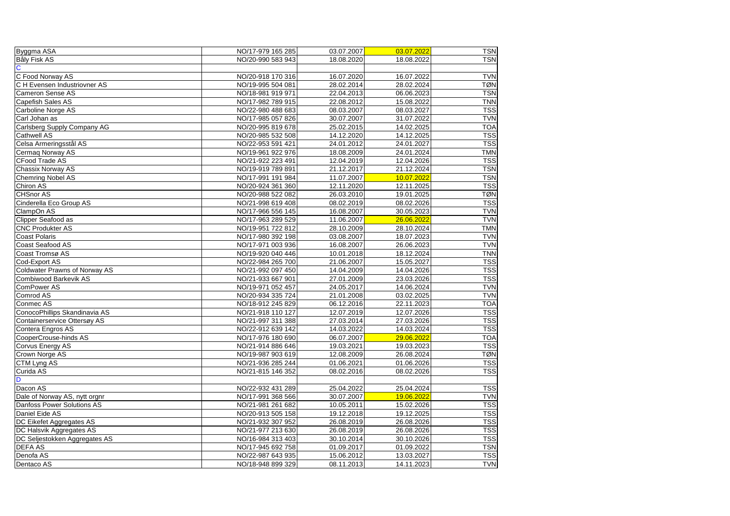| Byggma ASA                           | NO/17-979 165 285 | 03.07.2007 | 03.07.2022 | <b>TSN</b> |
|--------------------------------------|-------------------|------------|------------|------------|
| <b>Båly Fisk AS</b>                  | NO/20-990 583 943 | 18.08.2020 | 18.08.2022 | <b>TSN</b> |
| $\mathbf C$                          |                   |            |            |            |
| C Food Norway AS                     | NO/20-918 170 316 | 16.07.2020 | 16.07.2022 | <b>TVN</b> |
| <b>C</b> H Evensen Industriovner AS  | NO/19-995 504 081 | 28.02.2014 | 28.02.2024 | <b>TØN</b> |
| <b>Cameron Sense AS</b>              | NO/18-981 919 971 | 22.04.2013 | 06.06.2023 | <b>TSN</b> |
| Capefish Sales AS                    | NO/17-982 789 915 | 22.08.2012 | 15.08.2022 | <b>TNN</b> |
| Carboline Norge AS                   | NO/22-980 488 683 | 08.03.2007 | 08.03.2027 | <b>TSS</b> |
| Carl Johan as                        | NO/17-985 057 826 | 30.07.2007 | 31.07.2022 | <b>TVN</b> |
| Carlsberg Supply Company AG          | NO/20-995 819 678 | 25.02.2015 | 14.02.2025 | <b>TOA</b> |
| <b>Cathwell AS</b>                   | NO/20-985 532 508 | 14.12.2020 | 14.12.2025 | <b>TSS</b> |
| Celsa Armeringsstål AS               | NO/22-953 591 421 | 24.01.2012 | 24.01.2027 | <b>TSS</b> |
| Cermaq Norway AS                     | NO/19-961 922 976 | 18.08.2009 | 24.01.2024 | <b>TMN</b> |
| <b>CFood Trade AS</b>                | NO/21-922 223 491 | 12.04.2019 | 12.04.2026 | <b>TSS</b> |
| <b>Chassix Norway AS</b>             | NO/19-919 789 891 | 21.12.2017 | 21.12.2024 | <b>TSN</b> |
| <b>Chemring Nobel AS</b>             | NO/17-991 191 984 | 11.07.2007 | 10.07.2022 | <b>TSN</b> |
| Chiron AS                            | NO/20-924 361 360 | 12.11.2020 | 12.11.2025 | <b>TSS</b> |
| <b>CHSnor AS</b>                     | NO/20-988 522 082 | 26.03.2010 | 19.01.2025 | <b>TØN</b> |
| Cinderella Eco Group AS              | NO/21-998 619 408 | 08.02.2019 | 08.02.2026 | <b>TSS</b> |
| ClampOn AS                           | NO/17-966 556 145 | 16.08.2007 | 30.05.2023 | <b>TVN</b> |
| Clipper Seafood as                   | NO/17-963 289 529 | 11.06.2007 | 26.06.2022 | <b>TVN</b> |
| <b>CNC Produkter AS</b>              | NO/19-951 722 812 | 28.10.2009 | 28.10.2024 | <b>TMN</b> |
| <b>Coast Polaris</b>                 | NO/17-980 392 198 | 03.08.2007 | 18.07.2023 | <b>TVN</b> |
| <b>Coast Seafood AS</b>              | NO/17-971 003 936 | 16.08.2007 | 26.06.2023 | <b>TVN</b> |
| Coast Tromsø AS                      | NO/19-920 040 446 | 10.01.2018 | 18.12.2024 | <b>TNN</b> |
| Cod-Export AS                        | NO/22-984 265 700 | 21.06.2007 | 15.05.2027 | <b>TSS</b> |
| Coldwater Prawns of Norway AS        | NO/21-992 097 450 | 14.04.2009 | 14.04.2026 | <b>TSS</b> |
| <b>Combiwood Barkevik AS</b>         | NO/21-933 667 901 | 27.01.2009 | 23.03.2026 | <b>TSS</b> |
| <b>ComPower AS</b>                   | NO/19-971 052 457 | 24.05.2017 | 14.06.2024 | <b>TVN</b> |
| Comrod AS                            | NO/20-934 335 724 | 21.01.2008 | 03.02.2025 | <b>TVN</b> |
| Conmec AS                            | NO/18-912 245 829 | 06.12.2016 | 22.11.2023 | <b>TOA</b> |
| ConocoPhillips Skandinavia AS        | NO/21-918 110 127 | 12.07.2019 | 12.07.2026 | <b>TSS</b> |
| Containerservice Ottersøy AS         | NO/21-997 311 388 | 27.03.2014 | 27.03.2026 | <b>TSS</b> |
| Contera Engros AS                    | NO/22-912 639 142 | 14.03.2022 | 14.03.2024 | <b>TSS</b> |
| CooperCrouse-hinds AS                | NO/17-976 180 690 | 06.07.2007 | 29.06.2022 | <b>TOA</b> |
| Corvus Energy AS                     | NO/21-914 886 646 | 19.03.2021 | 19.03.2023 | <b>TSS</b> |
| Crown Norge AS                       | NO/19-987 903 619 | 12.08.2009 | 26.08.2024 | <b>TØN</b> |
| <b>CTM Lyng AS</b>                   | NO/21-936 285 244 | 01.06.2021 | 01.06.2026 | <b>TSS</b> |
| Curida AS                            | NO/21-815 146 352 | 08.02.2016 | 08.02.2026 | <b>TSS</b> |
| D                                    |                   |            |            |            |
| Dacon AS                             | NO/22-932 431 289 | 25.04.2022 | 25.04.2024 | <b>TSS</b> |
| Dale of Norway AS, nytt orgnr        | NO/17-991 368 566 | 30.07.2007 | 19.06.2022 | <b>TVN</b> |
| Danfoss Power Solutions AS           | NO/21-981 261 682 | 10.05.2011 | 15.02.2026 | <b>TSS</b> |
| Daniel Eide AS                       | NO/20-913 505 158 | 19.12.2018 | 19.12.2025 | <b>TSS</b> |
| <b>DC Eikefet Aggregates AS</b>      | NO/21-932 307 952 | 26.08.2019 | 26.08.2026 | <b>TSS</b> |
| DC Halsvik Aggregates AS             | NO/21-977 213 630 | 26.08.2019 | 26.08.2026 | <b>TSS</b> |
| <b>DC Seljestokken Aggregates AS</b> | NO/16-984 313 403 | 30.10.2014 | 30.10.2026 | <b>TSS</b> |
| <b>DEFA AS</b>                       | NO/17-945 692 758 | 01.09.2017 | 01.09.2022 | <b>TSN</b> |
| Denofa AS                            | NO/22-987 643 935 | 15.06.2012 | 13.03.2027 | <b>TSS</b> |
| Dentaco AS                           | NO/18-948 899 329 | 08.11.2013 | 14.11.2023 | <b>TVN</b> |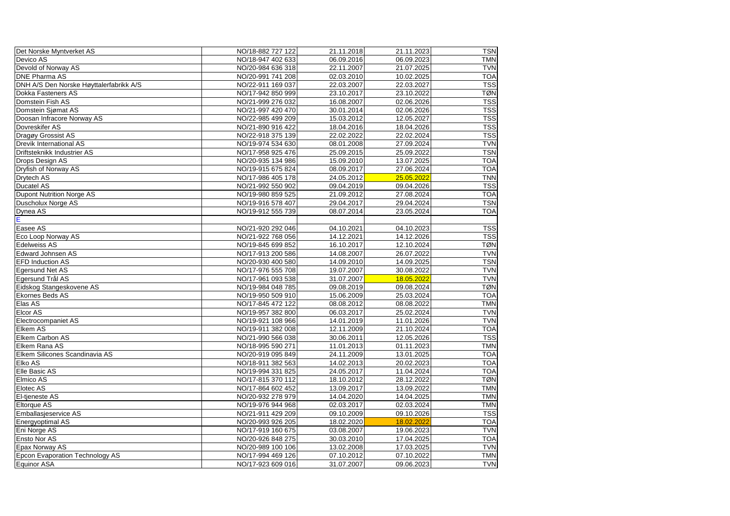| Det Norske Myntverket AS                | NO/18-882 727 122 | 21.11.2018 | 21.11.2023 | <b>TSN</b> |
|-----------------------------------------|-------------------|------------|------------|------------|
| Devico AS                               | NO/18-947 402 633 | 06.09.2016 | 06.09.2023 | <b>TMN</b> |
| Devold of Norway AS                     | NO/20-984 636 318 | 22.11.2007 | 21.07.2025 | <b>TVN</b> |
| <b>DNE Pharma AS</b>                    | NO/20-991 741 208 | 02.03.2010 | 10.02.2025 | <b>TOA</b> |
| DNH A/S Den Norske Høyttalerfabrikk A/S | NO/22-911 169 037 | 22.03.2007 | 22.03.2027 | <b>TSS</b> |
| <b>Dokka Fasteners AS</b>               | NO/17-942 850 999 | 23.10.2017 | 23.10.2022 | <b>TØN</b> |
| Domstein Fish AS                        | NO/21-999 276 032 | 16.08.2007 | 02.06.2026 | <b>TSS</b> |
| Domstein Sjømat AS                      | NO/21-997 420 470 | 30.01.2014 | 02.06.2026 | <b>TSS</b> |
| Doosan Infracore Norway AS              | NO/22-985 499 209 | 15.03.2012 | 12.05.2027 | <b>TSS</b> |
| Dovreskifer AS                          | NO/21-890 916 422 | 18.04.2016 | 18.04.2026 | <b>TSS</b> |
| Dragøy Grossist AS                      | NO/22-918 375 139 | 22.02.2022 | 22.02.2024 | <b>TSS</b> |
| <b>Drevik International AS</b>          | NO/19-974 534 630 | 08.01.2008 | 27.09.2024 | <b>TVN</b> |
| Driftsteknikk Industrier AS             | NO/17-958 925 476 | 25.09.2015 | 25.09.2022 | <b>TSN</b> |
| Drops Design AS                         | NO/20-935 134 986 | 15.09.2010 | 13.07.2025 | <b>TOA</b> |
| Dryfish of Norway AS                    | NO/19-915 675 824 | 08.09.2017 | 27.06.2024 | <b>TOA</b> |
| Drytech AS                              | NO/17-986 405 178 | 24.05.2012 | 25.05.2022 | <b>TNN</b> |
| <b>Ducatel AS</b>                       | NO/21-992 550 902 | 09.04.2019 | 09.04.2026 | <b>TSS</b> |
| Dupont Nutrition Norge AS               | NO/19-980 859 525 | 21.09.2012 | 27.08.2024 | <b>TOA</b> |
| Duscholux Norge AS                      | NO/19-916 578 407 | 29.04.2017 | 29.04.2024 | <b>TSN</b> |
| Dynea AS                                | NO/19-912 555 739 | 08.07.2014 | 23.05.2024 | <b>TOA</b> |
| Е                                       |                   |            |            |            |
| Easee AS                                | NO/21-920 292 046 | 04.10.2021 | 04.10.2023 | <b>TSS</b> |
| Eco Loop Norway AS                      | NO/21-922 768 056 | 14.12.2021 | 14.12.2026 | <b>TSS</b> |
| <b>Edelweiss AS</b>                     | NO/19-845 699 852 | 16.10.2017 | 12.10.2024 | <b>TØN</b> |
| <b>Edward Johnsen AS</b>                | NO/17-913 200 586 | 14.08.2007 | 26.07.2022 | <b>TVN</b> |
| <b>EFD Induction AS</b>                 | NO/20-930 400 580 | 14.09.2010 | 14.09.2025 | <b>TSN</b> |
| Egersund Net AS                         | NO/17-976 555 708 | 19.07.2007 | 30.08.2022 | <b>TVN</b> |
| Egersund Trål AS                        | NO/17-961 093 538 | 31.07.2007 | 18.05.2022 | <b>TVN</b> |
| Eidskog Stangeskovene AS                | NO/19-984 048 785 | 09.08.2019 | 09.08.2024 | <b>TØN</b> |
| <b>Ekornes Beds AS</b>                  | NO/19-950 509 910 | 15.06.2009 | 25.03.2024 | <b>TOA</b> |
| Elas AS                                 | NO/17-845 472 122 | 08.08.2012 | 08.08.2022 | <b>TMN</b> |
| <b>Elcor AS</b>                         | NO/19-957 382 800 | 06.03.2017 | 25.02.2024 | <b>TVN</b> |
| Electrocompaniet AS                     | NO/19-921 108 966 | 14.01.2019 | 11.01.2026 | <b>TVN</b> |
| <b>Elkem AS</b>                         | NO/19-911 382 008 | 12.11.2009 | 21.10.2024 | <b>TOA</b> |
| <b>Elkem Carbon AS</b>                  | NO/21-990 566 038 | 30.06.2011 | 12.05.2026 | <b>TSS</b> |
| Elkem Rana AS                           | NO/18-995 590 271 | 11.01.2013 | 01.11.2023 | <b>TMN</b> |
| Elkem Silicones Scandinavia AS          | NO/20-919 095 849 | 24.11.2009 | 13.01.2025 | <b>TOA</b> |
| Elko AS                                 | NO/18-911 382 563 | 14.02.2013 | 20.02.2023 | <b>TOA</b> |
| Elle Basic AS                           | NO/19-994 331 825 | 24.05.2017 | 11.04.2024 | <b>TOA</b> |
| Elmico AS                               | NO/17-815 370 112 | 18.10.2012 | 28.12.2022 | <b>TØN</b> |
| <b>Elotec AS</b>                        | NO/17-864 602 452 | 13.09.2017 | 13.09.2022 | <b>TMN</b> |
| El-tjeneste AS                          | NO/20-932 278 979 | 14.04.2020 | 14.04.2025 | <b>TMN</b> |
| <b>Eltorque AS</b>                      | NO/19-976 944 968 | 02.03.2017 | 02.03.2024 | <b>TMN</b> |
| Emballasjeservice AS                    | NO/21-911 429 209 | 09.10.2009 | 09.10.2026 | <b>TSS</b> |
| Energyoptimal AS                        | NO/20-993 926 205 | 18.02.2020 | 18.02.2022 | <b>TOA</b> |
| Eni Norge AS                            | NO/17-919 160 675 | 03.08.2007 | 19.06.2023 | <b>TVN</b> |
| <b>Ensto Nor AS</b>                     | NO/20-926 848 275 | 30.03.2010 | 17.04.2025 | <b>TOA</b> |
| <b>Epax Norway AS</b>                   | NO/20-989 100 106 | 13.02.2008 | 17.03.2025 | <b>TVN</b> |
| <b>Epcon Evaporation Technology AS</b>  | NO/17-994 469 126 | 07.10.2012 | 07.10.2022 | <b>TMN</b> |
| Equinor ASA                             | NO/17-923 609 016 | 31.07.2007 | 09.06.2023 | <b>TVN</b> |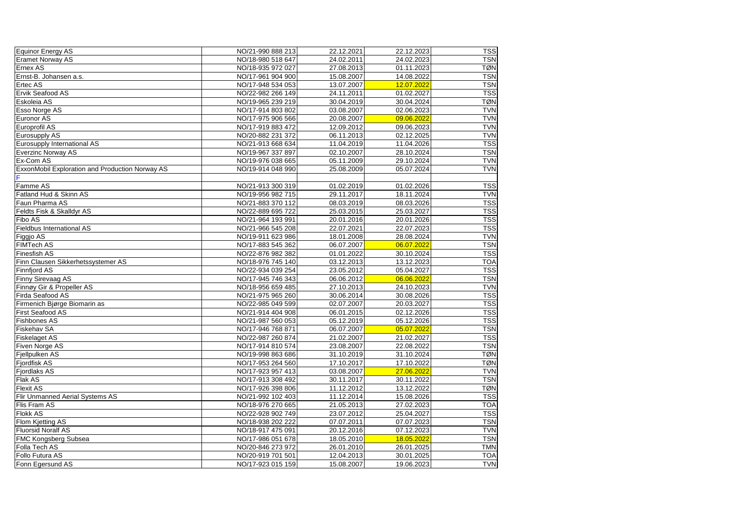| Equinor Energy AS                                      | NO/21-990 888 213 | 22.12.2021 | 22.12.2023 | <b>TSS</b> |
|--------------------------------------------------------|-------------------|------------|------------|------------|
| <b>Eramet Norway AS</b>                                | NO/18-980 518 647 | 24.02.2011 | 24.02.2023 | <b>TSN</b> |
| <b>Ernex AS</b>                                        | NO/18-935 972 027 | 27.08.2013 | 01.11.2023 | <b>TØN</b> |
| Ernst-B. Johansen a.s.                                 | NO/17-961 904 900 | 15.08.2007 | 14.08.2022 | <b>TSN</b> |
| <b>Ertec AS</b>                                        | NO/17-948 534 053 | 13.07.2007 | 12.07.2022 | <b>TSN</b> |
| <b>Ervik Seafood AS</b>                                | NO/22-982 266 149 | 24.11.2011 | 01.02.2027 | <b>TSS</b> |
| Eskoleia AS                                            | NO/19-965 239 219 | 30.04.2019 | 30.04.2024 | <b>TØN</b> |
| <b>Esso Norge AS</b>                                   | NO/17-914 803 802 | 03.08.2007 | 02.06.2023 | <b>TVN</b> |
| Euronor AS                                             | NO/17-975 906 566 | 20.08.2007 | 09.06.2022 | <b>TVN</b> |
| Europrofil AS                                          | NO/17-919 883 472 | 12.09.2012 | 09.06.2023 | <b>TVN</b> |
| <b>Eurosupply AS</b>                                   | NO/20-882 231 372 | 06.11.2013 | 02.12.2025 | <b>TVN</b> |
| Eurosupply International AS                            | NO/21-913 668 634 | 11.04.2019 | 11.04.2026 | <b>TSS</b> |
| <b>Everzinc Norway AS</b>                              | NO/19-967 337 897 | 02.10.2007 | 28.10.2024 | <b>TSN</b> |
| <b>Ex-Com AS</b>                                       | NO/19-976 038 665 | 05.11.2009 | 29.10.2024 | <b>TVN</b> |
| <b>ExxonMobil Exploration and Production Norway AS</b> | NO/19-914 048 990 | 25.08.2009 | 05.07.2024 | <b>TVN</b> |
|                                                        |                   |            |            |            |
| <b>Famme AS</b>                                        | NO/21-913 300 319 | 01.02.2019 | 01.02.2026 | <b>TSS</b> |
| Fatland Hud & Skinn AS                                 | NO/19-956 982 715 | 29.11.2017 | 18.11.2024 | <b>TVN</b> |
| <b>Faun Pharma AS</b>                                  | NO/21-883 370 112 | 08.03.2019 | 08.03.2026 | <b>TSS</b> |
| Feldts Fisk & Skalldyr AS                              | NO/22-889 695 722 | 25.03.2015 | 25.03.2027 | <b>TSS</b> |
| <b>Fibo AS</b>                                         | NO/21-964 193 991 | 20.01.2016 | 20.01.2026 | <b>TSS</b> |
| <b>Fieldbus International AS</b>                       | NO/21-966 545 208 | 22.07.2021 | 22.07.2023 | <b>TSS</b> |
| Figgjo AS                                              | NO/19-911 623 986 | 18.01.2008 | 28.08.2024 | <b>TVN</b> |
| <b>FIMTech AS</b>                                      | NO/17-883 545 362 | 06.07.2007 | 06.07.2022 | <b>TSN</b> |
| <b>Finesfish AS</b>                                    | NO/22-876 982 382 | 01.01.2022 | 30.10.2024 | <b>TSS</b> |
| Finn Clausen Sikkerhetssystemer AS                     | NO/18-976 745 140 | 03.12.2013 | 13.12.2023 | <b>TOA</b> |
| <b>Finnfjord AS</b>                                    | NO/22-934 039 254 | 23.05.2012 | 05.04.2027 | <b>TSS</b> |
| <b>Finny Sirevaag AS</b>                               | NO/17-945 746 343 | 06.06.2012 | 06.06.2022 | <b>TSN</b> |
| Finnøy Gir & Propeller AS                              | NO/18-956 659 485 | 27.10.2013 | 24.10.2023 | <b>TVN</b> |
| <b>Firda Seafood AS</b>                                | NO/21-975 965 260 | 30.06.2014 | 30.08.2026 | <b>TSS</b> |
| Firmenich Bjørge Biomarin as                           | NO/22-985 049 599 | 02.07.2007 | 20.03.2027 | <b>TSS</b> |
| <b>First Seafood AS</b>                                | NO/21-914 404 908 | 06.01.2015 | 02.12.2026 | <b>TSS</b> |
| <b>Fishbones AS</b>                                    | NO/21-987 560 053 | 05.12.2019 | 05.12.2026 | <b>TSS</b> |
| <b>Fiskehav SA</b>                                     | NO/17-946 768 871 | 06.07.2007 | 05.07.2022 | <b>TSN</b> |
| <b>Fiskelaget AS</b>                                   | NO/22-987 260 874 | 21.02.2007 | 21.02.2027 | <b>TSS</b> |
| Fiven Norge AS                                         | NO/17-914 810 574 | 23.08.2007 | 22.08.2022 | <b>TSN</b> |
| Fjellpulken AS                                         | NO/19-998 863 686 | 31.10.2019 | 31.10.2024 | <b>TØN</b> |
| Fjordfisk AS                                           | NO/17-953 264 560 | 17.10.2017 | 17.10.2022 | <b>TØN</b> |
| <b>Fjordlaks AS</b>                                    | NO/17-923 957 413 | 03.08.2007 | 27.06.2022 | <b>TVN</b> |
| <b>Flak AS</b>                                         | NO/17-913 308 492 | 30.11.2017 | 30.11.2022 | <b>TSN</b> |
| <b>Flexit AS</b>                                       | NO/17-926 398 806 | 11.12.2012 | 13.12.2022 | <b>TØN</b> |
| <b>Flir Unmanned Aerial Systems AS</b>                 | NO/21-992 102 403 | 11.12.2014 | 15.08.2026 | <b>TSS</b> |
| <b>Flis Fram AS</b>                                    | NO/18-976 270 665 | 21.05.2013 | 27.02.2023 | <b>TOA</b> |
| <b>Flokk AS</b>                                        | NO/22-928 902 749 | 23.07.2012 | 25.04.2027 | <b>TSS</b> |
| <b>Flom Kjetting AS</b>                                | NO/18-938 202 222 | 07.07.2011 | 07.07.2023 | <b>TSN</b> |
| <b>Fluorsid Noralf AS</b>                              | NO/18-917 475 091 | 20.12.2016 | 07.12.2023 | <b>TVN</b> |
| <b>FMC Kongsberg Subsea</b>                            | NO/17-986 051 678 | 18.05.2010 | 18.05.2022 | <b>TSN</b> |
| Folla Tech AS                                          | NO/20-846 273 972 | 26.01.2010 | 26.01.2025 | <b>TMN</b> |
| <b>Follo Futura AS</b>                                 | NO/20-919 701 501 | 12.04.2013 | 30.01.2025 | <b>TOA</b> |
| Fonn Egersund AS                                       | NO/17-923 015 159 | 15.08.2007 | 19.06.2023 | <b>TVN</b> |
|                                                        |                   |            |            |            |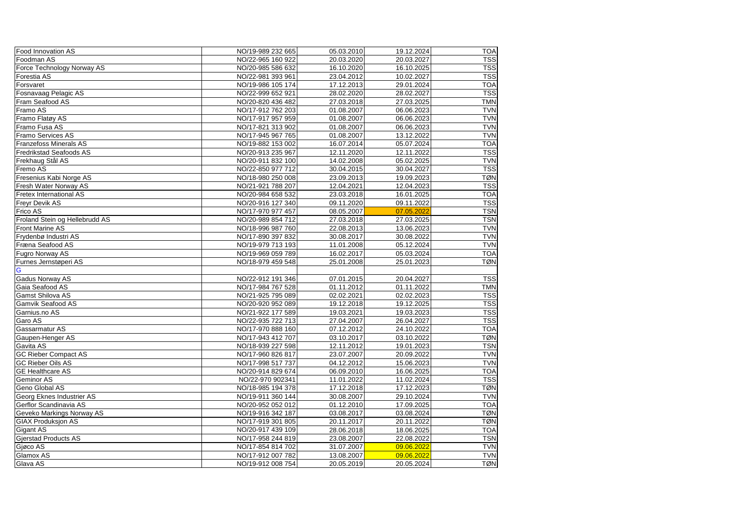| <b>Food Innovation AS</b>        | NO/19-989 232 665 | 05.03.2010 | 19.12.2024 | <b>TOA</b> |
|----------------------------------|-------------------|------------|------------|------------|
| Foodman AS                       | NO/22-965 160 922 | 20.03.2020 | 20.03.2027 | <b>TSS</b> |
| Force Technology Norway AS       | NO/20-985 586 632 | 16.10.2020 | 16.10.2025 | <b>TSS</b> |
| Forestia AS                      | NO/22-981 393 961 | 23.04.2012 | 10.02.2027 | <b>TSS</b> |
| Forsvaret                        | NO/19-986 105 174 | 17.12.2013 | 29.01.2024 | <b>TOA</b> |
| Fosnavaag Pelagic AS             | NO/22-999 652 921 | 28.02.2020 | 28.02.2027 | <b>TSS</b> |
| <b>Fram Seafood AS</b>           | NO/20-820 436 482 | 27.03.2018 | 27.03.2025 | <b>TMN</b> |
| Framo AS                         | NO/17-912 762 203 | 01.08.2007 | 06.06.2023 | <b>TVN</b> |
| Framo Flatøy AS                  | NO/17-917 957 959 | 01.08.2007 | 06.06.2023 | <b>TVN</b> |
| Framo Fusa AS                    | NO/17-821 313 902 | 01.08.2007 | 06.06.2023 | <b>TVN</b> |
| <b>Framo Services AS</b>         | NO/17-945 967 765 | 01.08.2007 | 13.12.2022 | <b>TVN</b> |
| <b>Franzefoss Minerals AS</b>    | NO/19-882 153 002 | 16.07.2014 | 05.07.2024 | <b>TOA</b> |
| <b>Fredrikstad Seafoods AS</b>   | NO/20-913 235 967 | 12.11.2020 | 12.11.2022 | <b>TSS</b> |
| Frekhaug Stål AS                 | NO/20-911 832 100 | 14.02.2008 | 05.02.2025 | <b>TVN</b> |
| Fremo AS                         | NO/22-850 977 712 | 30.04.2015 | 30.04.2027 | <b>TSS</b> |
| Fresenius Kabi Norge AS          | NO/18-980 250 008 | 23.09.2013 | 19.09.2023 | <b>TØN</b> |
| Fresh Water Norway AS            | NO/21-921 788 207 | 12.04.2021 | 12.04.2023 | <b>TSS</b> |
| <b>Fretex International AS</b>   | NO/20-984 658 532 | 23.03.2018 | 16.01.2025 | <b>TOA</b> |
| <b>Freyr Devik AS</b>            | NO/20-916 127 340 | 09.11.2020 | 09.11.2022 | <b>TSS</b> |
| <b>Frico AS</b>                  | NO/17-970 977 457 | 08.05.2007 | 07.05.2022 | <b>TSN</b> |
| Froland Stein og Hellebrudd AS   | NO/20-989 854 712 | 27.03.2018 | 27.03.2025 | <b>TSN</b> |
| <b>Front Marine AS</b>           | NO/18-996 987 760 | 22.08.2013 | 13.06.2023 | <b>TVN</b> |
| Frydenbø Industri AS             | NO/17-890 397 832 | 30.08.2017 | 30.08.2022 | <b>TVN</b> |
| Fræna Seafood AS                 | NO/19-979 713 193 | 11.01.2008 | 05.12.2024 | <b>TVN</b> |
| <b>Fugro Norway AS</b>           | NO/19-969 059 789 | 16.02.2017 | 05.03.2024 | <b>TOA</b> |
| Furnes Jernstøperi AS            | NO/18-979 459 548 | 25.01.2008 | 25.01.2023 | <b>TØN</b> |
| G                                |                   |            |            |            |
| <b>Gadus Norway AS</b>           | NO/22-912 191 346 | 07.01.2015 | 20.04.2027 | <b>TSS</b> |
| Gaia Seafood AS                  | NO/17-984 767 528 | 01.11.2012 | 01.11.2022 | <b>TMN</b> |
| <b>Gamst Shilova AS</b>          | NO/21-925 795 089 | 02.02.2021 | 02.02.2023 | <b>TSS</b> |
| <b>Gamvik Seafood AS</b>         | NO/20-920 952 089 | 19.12.2018 | 19.12.2025 | <b>TSS</b> |
| Garnius.no AS                    | NO/21-922 177 589 | 19.03.2021 | 19.03.2023 | <b>TSS</b> |
| Garo AS                          | NO/22-935 722 713 | 27.04.2007 | 26.04.2027 | <b>TSS</b> |
| <b>Gassarmatur AS</b>            | NO/17-970 888 160 | 07.12.2012 | 24.10.2022 | <b>TOA</b> |
| Gaupen-Henger AS                 | NO/17-943 412 707 | 03.10.2017 | 03.10.2022 | <b>TØN</b> |
| Gavita AS                        | NO/18-939 227 598 | 12.11.2012 | 19.01.2023 | <b>TSN</b> |
| <b>GC Rieber Compact AS</b>      | NO/17-960 826 817 | 23.07.2007 | 20.09.2022 | <b>TVN</b> |
| <b>GC Rieber Oils AS</b>         | NO/17-998 517 737 | 04.12.2012 | 15.06.2023 | <b>TVN</b> |
| <b>GE Healthcare AS</b>          | NO/20-914 829 674 | 06.09.2010 | 16.06.2025 | <b>TOA</b> |
| <b>Geminor AS</b>                | NO/22-970 902341  | 11.01.2022 | 11.02.2024 | <b>TSS</b> |
| <b>Geno Global AS</b>            | NO/18-985 194 378 | 17.12.2018 | 17.12.2023 | <b>TØN</b> |
| <b>Georg Eknes Industrier AS</b> | NO/19-911 360 144 | 30.08.2007 | 29.10.2024 | <b>TVN</b> |
| Gerflor Scandinavia AS           | NO/20-952 052 012 | 01.12.2010 | 17.09.2025 | <b>TOA</b> |
| Geveko Markings Norway AS        | NO/19-916 342 187 | 03.08.2017 | 03.08.2024 | <b>TØN</b> |
| <b>GIAX Produksjon AS</b>        | NO/17-919 301 805 | 20.11.2017 | 20.11.2022 | <b>TØN</b> |
| <b>Gigant AS</b>                 | NO/20-917 439 109 | 28.06.2018 | 18.06.2025 | <b>TOA</b> |
| <b>Gjerstad Products AS</b>      | NO/17-958 244 819 | 23.08.2007 | 22.08.2022 | <b>TSN</b> |
| Gjøco AS                         | NO/17-854 814 702 | 31.07.2007 | 09.06.2022 | <b>TVN</b> |
| Glamox AS                        | NO/17-912 007 782 | 13.08.2007 | 09.06.2022 | <b>TVN</b> |
| Glava AS                         | NO/19-912 008 754 | 20.05.2019 | 20.05.2024 | <b>TØN</b> |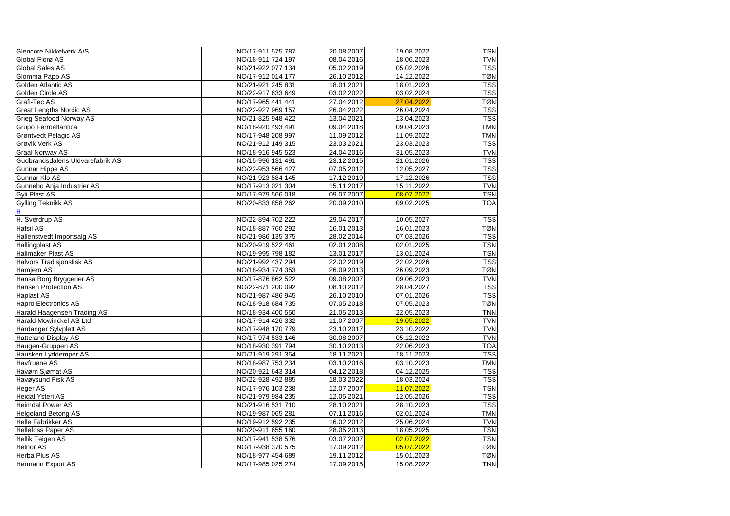| Glencore Nikkelverk A/S          | NO/17-911 575 787 | 20.08.2007 | 19.08.2022 | <b>TSN</b> |
|----------------------------------|-------------------|------------|------------|------------|
| Global Florø AS                  | NO/18-911 724 197 | 08.04.2016 | 18.06.2023 | <b>TVN</b> |
| <b>Global Sales AS</b>           | NO/21-922 077 134 | 05.02.2019 | 05.02.2026 | <b>TSS</b> |
| Glomma Papp AS                   | NO/17-912 014 177 | 26.10.2012 | 14.12.2022 | <b>TØN</b> |
| Golden Atlantic AS               | NO/21-921 245 831 | 18.01.2021 | 18.01.2023 | <b>TSS</b> |
| Golden Circle AS                 | NO/22-917 633 649 | 03.02.2022 | 03.02.2024 | <b>TSS</b> |
| Grafi-Tec AS                     | NO/17-965 441 441 | 27.04.2012 | 27.04.2022 | <b>TØN</b> |
| <b>Great Lengths Nordic AS</b>   | NO/22-927 969 157 | 26.04.2022 | 26.04.2024 | <b>TSS</b> |
| <b>Grieg Seafood Norway AS</b>   | NO/21-825 948 422 | 13.04.2021 | 13.04.2023 | <b>TSS</b> |
| Grupo Ferroatlantica             | NO/18-920 493 491 | 09.04.2018 | 09.04.2023 | <b>TMN</b> |
| Grøntvedt Pelagic AS             | NO/17-948 208 997 | 11.09.2012 | 11.09.2022 | <b>TMN</b> |
| <b>Grøvik Verk AS</b>            | NO/21-912 149 315 | 23.03.2021 | 23.03.2023 | <b>TSS</b> |
| <b>Graal Norway AS</b>           | NO/18-916 945 523 | 24.04.2016 | 31.05.2023 | <b>TVN</b> |
| Gudbrandsdalens Uldvarefabrik AS | NO/15-996 131 491 | 23.12.2015 | 21.01.2026 | <b>TSS</b> |
| <b>Gunnar Hippe AS</b>           | NO/22-953 566 427 | 07.05.2012 | 12.05.2027 | <b>TSS</b> |
| Gunnar Klo AS                    | NO/21-923 584 145 | 17.12.2019 | 17.12.2026 | <b>TSS</b> |
| Gunnebo Anja Industrier AS       | NO/17-913 021 304 | 15.11.2017 | 15.11.2022 | <b>TVN</b> |
| <b>Gyli Plast AS</b>             | NO/17-979 566 018 | 09.07.2007 | 08.07.2022 | <b>TSN</b> |
| <b>Gylling Teknikk AS</b>        | NO/20-833 858 262 | 20.09.2010 | 09.02.2025 | <b>TOA</b> |
| H                                |                   |            |            |            |
| H. Sverdrup AS                   | NO/22-894 702 222 | 29.04.2017 | 10.05.2027 | <b>TSS</b> |
| <b>Hafsil AS</b>                 | NO/18-887 760 292 | 16.01.2013 | 16.01.2023 | <b>TØN</b> |
| Hallenstvedt Importsalg AS       | NO/21-986 135 375 | 28.02.2014 | 07.03.2026 | <b>TSS</b> |
| Hallingplast AS                  | NO/20-919 522 461 | 02.01.2008 | 02.01.2025 | <b>TSN</b> |
| Hallmaker Plast AS               | NO/19-995 798 182 | 13.01.2017 | 13.01.2024 | <b>TSN</b> |
| Halvors Tradisjonsfisk AS        | NO/21-992 437 294 | 22.02.2019 | 22.02.2026 | <b>TSS</b> |
| Hamjern AS                       | NO/18-934 774 353 | 26.09.2013 | 26.09.2023 | <b>TØN</b> |
| Hansa Borg Bryggerier AS         | NO/17-876 862 522 | 09.08.2007 | 09.06.2023 | <b>TVN</b> |
| <b>Hansen Protection AS</b>      | NO/22-871 200 092 | 08.10.2012 | 28.04.2027 | <b>TSS</b> |
| <b>Haplast AS</b>                | NO/21-987 486 945 | 26.10.2010 | 07.01.2026 | <b>TSS</b> |
| Hapro Electronics AS             | NO/18-918 684 735 | 07.05.2018 | 07.05.2023 | <b>TØN</b> |
| Harald Haagensen Trading AS      | NO/18-934 400 550 | 21.05.2013 | 22.05.2023 | <b>TNN</b> |
| Harald Mowinckel AS Ltd          | NO/17-914 426 332 | 11.07.2007 | 19.05.2022 | <b>TVN</b> |
| Hardanger Sylvplett AS           | NO/17-948 170 779 | 23.10.2017 | 23.10.2022 | <b>TVN</b> |
| <b>Hatteland Display AS</b>      | NO/17-974 533 146 | 30.08.2007 | 05.12.2022 | <b>TVN</b> |
| Haugen-Gruppen AS                | NO/18-930 391 794 | 30.10.2013 | 22.06.2023 | <b>TOA</b> |
| Hausken Lyddemper AS             | NO/21-919 291 354 | 18.11.2021 | 18.11.2023 | <b>TSS</b> |
| Havfruene AS                     | NO/18-987 753 234 | 03.10.2016 | 03.10.2023 | <b>TMN</b> |
| Havørn Sjømat AS                 | NO/20-921 643 314 | 04.12.2018 | 04.12.2025 | <b>TSS</b> |
| Havøysund Fisk AS                | NO/22-928 492 885 | 18.03.2022 | 18.03.2024 | <b>TSS</b> |
| Heger AS                         | NO/17-976 103 238 | 12.07.2007 | 11.07.2022 | <b>TSN</b> |
| Heidal Ysteri AS                 | NO/21-979 984 235 | 12.05.2021 | 12.05.2026 | <b>TSS</b> |
| <b>Heimdal Power AS</b>          | NO/21-916 531 710 | 28.10.2021 | 28.10.2023 | <b>TSS</b> |
| <b>Helgeland Betong AS</b>       | NO/19-987 065 281 | 07.11.2016 | 02.01.2024 | <b>TMN</b> |
| <b>Helle Fabrikker AS</b>        | NO/19-912 592 235 | 16.02.2012 | 25.06.2024 | <b>TVN</b> |
| <b>Hellefoss Paper AS</b>        | NO/20-911 655 160 | 28.05.2013 | 18.05.2025 | <b>TSN</b> |
| Hellik Teigen AS                 | NO/17-941 538 576 | 03.07.2007 | 02.07.2022 | <b>TSN</b> |
| <b>Helnor AS</b>                 | NO/17-938 370 575 | 17.09.2012 | 05.07.2022 | <b>TØN</b> |
| Herba Plus AS                    | NO/18-977 454 689 | 19.11.2012 | 15.01.2023 | <b>TØN</b> |
| Hermann Export AS                | NO/17-985 025 274 | 17.09.2015 | 15.08.2022 | <b>TNN</b> |
|                                  |                   |            |            |            |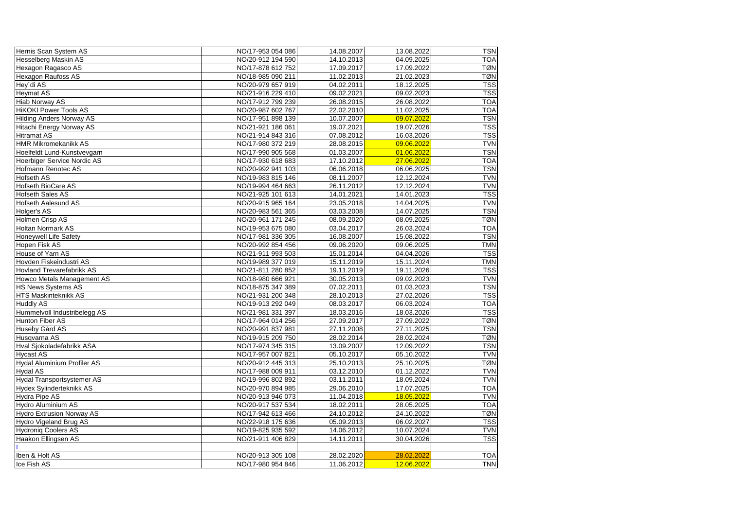| Hernis Scan System AS            | NO/17-953 054 086 | 14.08.2007 | 13.08.2022 | <b>TSN</b> |
|----------------------------------|-------------------|------------|------------|------------|
| <b>Hesselberg Maskin AS</b>      | NO/20-912 194 590 | 14.10.2013 | 04.09.2025 | <b>TOA</b> |
| Hexagon Ragasco AS               | NO/17-878 612 752 | 17.09.2017 | 17.09.2022 | <b>TØN</b> |
| Hexagon Raufoss AS               | NO/18-985 090 211 | 11.02.2013 | 21.02.2023 | <b>TØN</b> |
| Hey`di AS                        | NO/20-979 657 919 | 04.02.2011 | 18.12.2025 | <b>TSS</b> |
| <b>Heymat AS</b>                 | NO/21-916 229 410 | 09.02.2021 | 09.02.2023 | <b>TSS</b> |
| <b>Hiab Norway AS</b>            | NO/17-912 799 239 | 26.08.2015 | 26.08.2022 | <b>TOA</b> |
| <b>HiKOKI Power Tools AS</b>     | NO/20-987 602 767 | 22.02.2010 | 11.02.2025 | <b>TOA</b> |
| <b>Hilding Anders Norway AS</b>  | NO/17-951 898 139 | 10.07.2007 | 09.07.2022 | <b>TSN</b> |
| Hitachi Energy Norway AS         | NO/21-921 186 061 | 19.07.2021 | 19.07.2026 | <b>TSS</b> |
| <b>Hitramat AS</b>               | NO/21-914 843 316 | 07.08.2012 | 16.03.2026 | <b>TSS</b> |
| <b>HMR Mikromekanikk AS</b>      | NO/17-980 372 219 | 28.08.2015 | 09.06.2022 | <b>TVN</b> |
| Hoelfeldt Lund-Kunstvevgarn      | NO/17-990 905 568 | 01.03.2007 | 01.06.2022 | <b>TSN</b> |
| Hoerbiger Service Nordic AS      | NO/17-930 618 683 | 17.10.2012 | 27.06.2022 | <b>TOA</b> |
| Hofmann Renotec AS               | NO/20-992 941 103 | 06.06.2018 | 06.06.2025 | <b>TSN</b> |
| <b>Hofseth AS</b>                | NO/19-983 815 146 | 08.11.2007 | 12.12.2024 | <b>TVN</b> |
| <b>Hofseth BioCare AS</b>        | NO/19-994 464 663 | 26.11.2012 | 12.12.2024 | <b>TVN</b> |
| <b>Hofseth Sales AS</b>          | NO/21-925 101 613 | 14.01.2021 | 14.01.2023 | <b>TSS</b> |
| <b>Hofseth Aalesund AS</b>       | NO/20-915 965 164 | 23.05.2018 | 14.04.2025 | <b>TVN</b> |
| Holger's AS                      | NO/20-983 561 365 | 03.03.2008 | 14.07.2025 | <b>TSN</b> |
| Holmen Crisp AS                  | NO/20-961 171 245 | 08.09.2020 | 08.09.2025 | <b>TØN</b> |
| <b>Holtan Normark AS</b>         | NO/19-953 675 080 | 03.04.2017 | 26.03.2024 | <b>TOA</b> |
| <b>Honeywell Life Safety</b>     | NO/17-981 336 305 | 16.08.2007 | 15.08.2022 | <b>TSN</b> |
| Hopen Fisk AS                    | NO/20-992 854 456 | 09.06.2020 | 09.06.2025 | <b>TMN</b> |
| House of Yarn AS                 | NO/21-911 993 503 | 15.01.2014 | 04.04.2026 | <b>TSS</b> |
| Hovden Fiskeindustri AS          | NO/19-989 377 019 | 15.11.2019 | 15.11.2024 | <b>TMN</b> |
| <b>Hovland Trevarefabrikk AS</b> | NO/21-811 280 852 | 19.11.2019 | 19.11.2026 | <b>TSS</b> |
| Howco Metals Management AS       | NO/18-980 666 921 | 30.05.2013 | 09.02.2023 | <b>TVN</b> |
| <b>HS News Systems AS</b>        | NO/18-875 347 389 | 07.02.2011 | 01.03.2023 | <b>TSN</b> |
| <b>HTS Maskinteknikk AS</b>      | NO/21-931 200 348 | 28.10.2013 | 27.02.2026 | <b>TSS</b> |
| <b>Huddly AS</b>                 | NO/19-913 292 049 | 08.03.2017 | 06.03.2024 | <b>TOA</b> |
| Hummelvoll Industribelegg AS     | NO/21-981 331 397 | 18.03.2016 | 18.03.2026 | <b>TSS</b> |
| Hunton Fiber AS                  | NO/17-964 014 256 | 27.09.2017 | 27.09.2022 | TØNI       |
| Huseby Gård AS                   | NO/20-991 837 981 | 27.11.2008 | 27.11.2025 | <b>TSN</b> |
| Husqvarna AS                     | NO/19-915 209 750 | 28.02.2014 | 28.02.2024 | <b>TØN</b> |
| Hval Sjokoladefabrikk ASA        | NO/17-974 345 315 | 13.09.2007 | 12.09.2022 | <b>TSN</b> |
| <b>Hycast AS</b>                 | NO/17-957 007 821 | 05.10.2017 | 05.10.2022 | <b>TVN</b> |
| Hydal Aluminium Profiler AS      | NO/20-912 445 313 | 25.10.2013 | 25.10.2025 | <b>TØN</b> |
| <b>Hydal AS</b>                  | NO/17-988 009 911 | 03.12.2010 | 01.12.2022 | <b>TVN</b> |
| Hydal Transportsystemer AS       | NO/19-996 802 892 | 03.11.2011 | 18.09.2024 | <b>TVN</b> |
| Hydex Sylinderteknikk AS         | NO/20-970 894 985 | 29.06.2010 | 17.07.2025 | <b>TOA</b> |
| Hydra Pipe AS                    | NO/20-913 946 073 | 11.04.2018 | 18.05.2022 | <b>TVN</b> |
| Hydro Aluminium AS               | NO/20-917 537 534 | 18.02.2011 | 28.05.2025 | <b>TOA</b> |
| <b>Hydro Extrusion Norway AS</b> | NO/17-942 613 466 | 24.10.2012 | 24.10.2022 | <b>TØN</b> |
| Hydro Vigeland Brug AS           | NO/22-918 175 636 | 05.09.2013 | 06.02.2027 | <b>TSS</b> |
| <b>Hydroniq Coolers AS</b>       | NO/19-825 935 592 | 14.06.2012 | 10.07.2024 | <b>TVN</b> |
| Haakon Ellingsen AS              | NO/21-911 406 829 | 14.11.2011 | 30.04.2026 | <b>TSS</b> |
|                                  |                   |            |            |            |
| Iben & Holt AS                   | NO/20-913 305 108 | 28.02.2020 | 28.02.2022 | <b>TOA</b> |
| Ice Fish AS                      | NO/17-980 954 846 | 11.06.2012 | 12.06.2022 | <b>TNN</b> |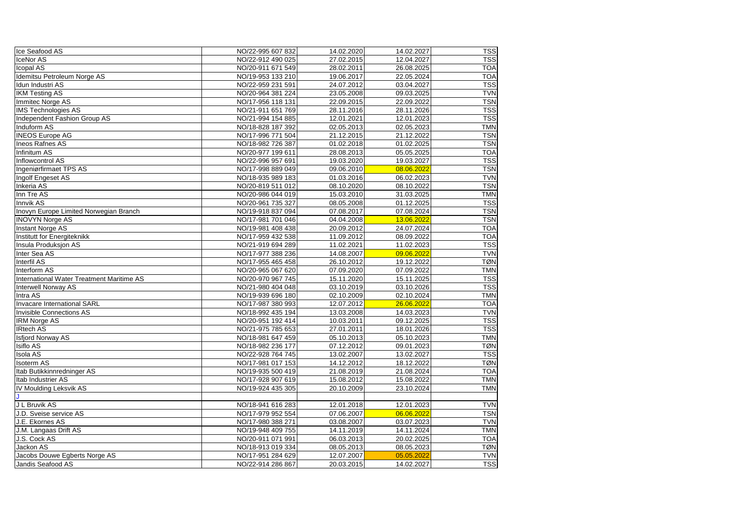| Ice Seafood AS                            | NO/22-995 607 832 | 14.02.2020 | 14.02.2027 | <b>TSS</b> |
|-------------------------------------------|-------------------|------------|------------|------------|
| IceNor AS                                 | NO/22-912 490 025 | 27.02.2015 | 12.04.2027 | <b>TSS</b> |
| Icopal AS                                 | NO/20-911 671 549 | 28.02.2011 | 26.08.2025 | <b>TOA</b> |
| Idemitsu Petroleum Norge AS               | NO/19-953 133 210 | 19.06.2017 | 22.05.2024 | <b>TOA</b> |
| Idun Industri AS                          | NO/22-959 231 591 | 24.07.2012 | 03.04.2027 | <b>TSS</b> |
| <b>IKM Testing AS</b>                     | NO/20-964 381 224 | 23.05.2008 | 09.03.2025 | <b>TVN</b> |
| Immitec Norge AS                          | NO/17-956 118 131 | 22.09.2015 | 22.09.2022 | <b>TSN</b> |
| <b>IMS Technologies AS</b>                | NO/21-911 651 769 | 28.11.2016 | 28.11.2026 | <b>TSS</b> |
| Independent Fashion Group AS              | NO/21-994 154 885 | 12.01.2021 | 12.01.2023 | <b>TSS</b> |
| Induform AS                               | NO/18-828 187 392 | 02.05.2013 | 02.05.2023 | <b>TMN</b> |
| <b>INEOS Europe AG</b>                    | NO/17-996 771 504 | 21.12.2015 | 21.12.2022 | <b>TSN</b> |
| <b>Ineos Rafnes AS</b>                    | NO/18-982 726 387 | 01.02.2018 | 01.02.2025 | <b>TSN</b> |
| Infinitum AS                              | NO/20-977 199 611 | 28.08.2013 | 05.05.2025 | <b>TOA</b> |
| Inflowcontrol AS                          | NO/22-996 957 691 | 19.03.2020 | 19.03.2027 | <b>TSS</b> |
| Ingeniørfirmaet TPS AS                    | NO/17-998 889 049 | 09.06.2010 | 08.06.2022 | <b>TSN</b> |
| Ingolf Engeset AS                         | NO/18-935 989 183 | 01.03.2016 | 06.02.2023 | <b>TVN</b> |
| Inkeria AS                                | NO/20-819 511 012 | 08.10.2020 | 08.10.2022 | <b>TSN</b> |
| Inn Tre AS                                | NO/20-986 044 019 | 15.03.2010 | 31.03.2025 | <b>TMN</b> |
| Innvik AS                                 | NO/20-961 735 327 | 08.05.2008 | 01.12.2025 | <b>TSS</b> |
| Inovyn Europe Limited Norwegian Branch    | NO/19-918 837 094 | 07.08.2017 | 07.08.2024 | <b>TSN</b> |
| <b>INOVYN Norge AS</b>                    | NO/17-981 701 046 | 04.04.2008 | 13.06.2022 | <b>TSN</b> |
| <b>Instant Norge AS</b>                   | NO/19-981 408 438 | 20.09.2012 | 24.07.2024 | <b>TOA</b> |
| Institutt for Energiteknikk               | NO/17-959 432 538 | 11.09.2012 | 08.09.2022 | <b>TOA</b> |
| Insula Produksjon AS                      | NO/21-919 694 289 | 11.02.2021 | 11.02.2023 | <b>TSS</b> |
| Inter Sea AS                              | NO/17-977 388 236 | 14.08.2007 | 09.06.2022 | <b>TVN</b> |
| <b>Interfil AS</b>                        | NO/17-955 465 458 | 26.10.2012 | 19.12.2022 | <b>TØN</b> |
| Interform AS                              | NO/20-965 067 620 | 07.09.2020 | 07.09.2022 | <b>TMN</b> |
| International Water Treatment Maritime AS | NO/20-970 967 745 | 15.11.2020 | 15.11.2025 | <b>TSS</b> |
| <b>Interwell Norway AS</b>                | NO/21-980 404 048 | 03.10.2019 | 03.10.2026 | <b>TSS</b> |
| Intra AS                                  | NO/19-939 696 180 | 02.10.2009 | 02.10.2024 | <b>TMN</b> |
| <b>Invacare International SARL</b>        | NO/17-987 380 993 | 12.07.2012 | 26.06.2022 | <b>TOA</b> |
| <b>Invisible Connections AS</b>           | NO/18-992 435 194 | 13.03.2008 | 14.03.2023 | <b>TVN</b> |
| <b>IRM Norge AS</b>                       | NO/20-951 192 414 | 10.03.2011 | 09.12.2025 | <b>TSS</b> |
| <b>IRtech AS</b>                          | NO/21-975 785 653 | 27.01.2011 | 18.01.2026 | <b>TSS</b> |
| <b>Isfjord Norway AS</b>                  | NO/18-981 647 459 | 05.10.2013 | 05.10.2023 | <b>TMN</b> |
| <b>Isiflo AS</b>                          | NO/18-982 236 177 | 07.12.2012 | 09.01.2023 | <b>TØN</b> |
| <b>Isola AS</b>                           | NO/22-928 764 745 | 13.02.2007 | 13.02.2027 | <b>TSS</b> |
| <b>Isoterm AS</b>                         | NO/17-981 017 153 | 14.12.2012 | 18.12.2022 | <b>TØN</b> |
| Itab Butikkinnredninger AS                | NO/19-935 500 419 | 21.08.2019 | 21.08.2024 | <b>TOA</b> |
| Itab Industrier AS                        | NO/17-928 907 619 | 15.08.2012 | 15.08.2022 | <b>TMN</b> |
| <b>IV Moulding Leksvik AS</b>             | NO/19-924 435 305 | 20.10.2009 | 23.10.2024 | <b>TMN</b> |
|                                           |                   |            |            |            |
| J L Bruvik AS                             | NO/18-941 616 283 | 12.01.2018 | 12.01.2023 | <b>TVN</b> |
| J.D. Sveise service AS                    | NO/17-979 952 554 | 07.06.2007 | 06.06.2022 | <b>TSN</b> |
| J.E. Ekornes AS                           | NO/17-980 388 271 | 03.08.2007 | 03.07.2023 | <b>TVN</b> |
| J.M. Langaas Drift AS                     | NO/19-948 409 755 | 14.11.2019 | 14.11.2024 | <b>TMN</b> |
| J.S. Cock AS                              | NO/20-911 071 991 | 06.03.2013 | 20.02.2025 | <b>TOA</b> |
| Jackon AS                                 | NO/18-913 019 334 | 08.05.2013 | 08.05.2023 | <b>TØN</b> |
| Jacobs Douwe Egberts Norge AS             | NO/17-951 284 629 | 12.07.2007 | 05.05.2022 | <b>TVN</b> |
| Jandis Seafood AS                         | NO/22-914 286 867 | 20.03.2015 | 14.02.2027 | <b>TSS</b> |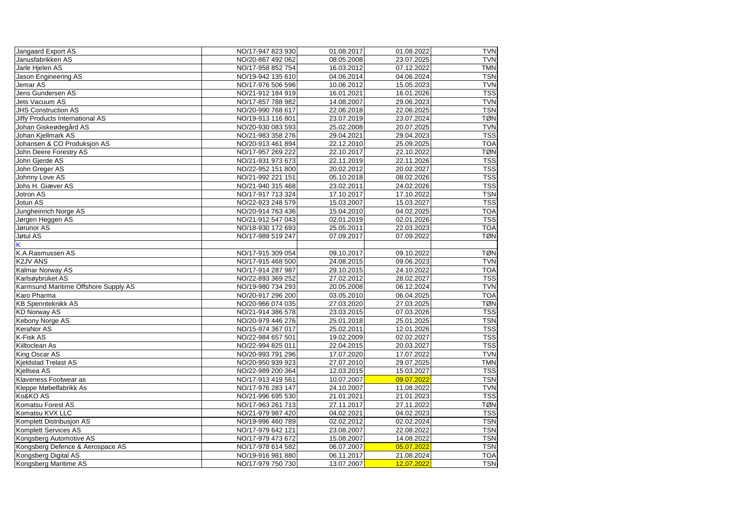| Jangaard Export AS                     | NO/17-947 823 930 | 01.08.2017 | 01.08.2022 | <b>TVN</b> |
|----------------------------------------|-------------------|------------|------------|------------|
| Janusfabrikken AS                      | NO/20-867 492 062 | 08.05.2008 | 23.07.2025 | <b>TVN</b> |
| Jarle Hjelen AS                        | NO/17-958 852 754 | 16.03.2012 | 07.12.2022 | <b>TMN</b> |
| Jason Engineering AS                   | NO/19-942 135 610 | 04.06.2014 | 04.06.2024 | <b>TSN</b> |
| Jemar AS                               | NO/17-976 506 596 | 10.06.2012 | 15.05.2023 | <b>TVN</b> |
| Jens Gundersen AS                      | NO/21-912 184 919 | 16.01.2021 | 16.01.2026 | <b>TSS</b> |
| Jets Vacuum AS                         | NO/17-857 788 982 | 14.08.2007 | 29.06.2023 | <b>TVN</b> |
| <b>JHS Construction AS</b>             | NO/20-990 768 617 | 22.06.2018 | 22.06.2025 | <b>TSN</b> |
| <b>Jiffy Products International AS</b> | NO/19-913 116 801 | 23.07.2019 | 23.07.2024 | <b>TØN</b> |
| Johan Giskeødegård AS                  | NO/20-930 083 593 | 25.02.2008 | 20.07.2025 | <b>TVN</b> |
| Johan Kjellmark AS                     | NO/21-983 358 276 | 29.04.2021 | 29.04.2023 | <b>TSS</b> |
| Johansen & CO Produksjon AS            | NO/20-913 461 894 | 22.12.2010 | 25.09.2025 | <b>TOA</b> |
| John Deere Forestry AS                 | NO/17-957 269 222 | 22.10.2017 | 22.10.2022 | <b>TØN</b> |
| John Gjerde AS                         | NO/21-931 973 673 | 22.11.2019 | 22.11.2026 | <b>TSS</b> |
| John Greger AS                         | NO/22-952 151 800 | 20.02.2012 | 20.02.2027 | <b>TSS</b> |
| Johnny Love AS                         | NO/21-992 221 151 | 05.10.2018 | 08.02.2026 | <b>TSS</b> |
| Johs H. Giæver AS                      | NO/21-940 315 468 | 23.02.2011 | 24.02.2026 | <b>TSS</b> |
| Jotron AS                              | NO/17-917 713 324 | 17.10.2017 | 17.10.2022 | <b>TSN</b> |
| Jotun AS                               | NO/22-923 248 579 | 15.03.2007 | 15.03.2027 | <b>TSS</b> |
| Jungheinrich Norge AS                  | NO/20-914 763 436 | 15.04.2010 | 04.02.2025 | <b>TOA</b> |
| Jørgen Heggen AS                       | NO/21-912 547 043 | 02.01.2019 | 02.01.2026 | <b>TSS</b> |
| Jørunor AS                             | NO/18-930 172 693 | 25.05.2011 | 22.03.2023 | <b>TOA</b> |
| Jøtul AS                               | NO/17-989 519 247 | 07.09.2017 | 07.09.2022 | <b>TØN</b> |
|                                        |                   |            |            |            |
| K.A.Rasmussen AS                       | NO/17-915 309 054 | 09.10.2017 | 09.10.2022 | <b>TØN</b> |
| <b>K2JV ANS</b>                        | NO/17-915 468 500 | 24.08.2015 | 09.06.2023 | <b>TVN</b> |
| Kalmar Norway AS                       | NO/17-914 287 987 | 29.10.2015 | 24.10.2022 | <b>TOA</b> |
| Karlsøybruket AS                       | NO/22-893 369 252 | 27.02.2012 | 28.02.2027 | <b>TSS</b> |
| Karmsund Maritime Offshore Supply AS   | NO/19-980 734 293 | 20.05.2008 | 06.12.2024 | <b>TVN</b> |
| Karo Pharma                            | NO/20-917 296 200 | 03.05.2010 | 06.04.2025 | <b>TOA</b> |
| <b>KB Spennteknikk AS</b>              | NO/20-966 074 035 | 27.03.2020 | 27.03.2025 | <b>TØN</b> |
| <b>KD Norway AS</b>                    | NO/21-914 386 578 | 23.03.2015 | 07.03.2026 | <b>TSS</b> |
| Kebony Norge AS                        | NO/20-979 446 276 | 25.01.2018 | 25.01.2025 | <b>TSN</b> |
| <b>KeraNor AS</b>                      | NO/15-974 367 017 | 25.02.2011 | 12.01.2026 | <b>TSS</b> |
| K-Fisk AS                              | NO/22-984 657 501 | 19.02.2009 | 02.02.2027 | <b>TSS</b> |
| Kiiltoclean As                         | NO/22-994 825 011 | 22.04.2015 | 20.03.2027 | <b>TSS</b> |
| King Oscar AS                          | NO/20-993 791 296 | 17.07.2020 | 17.07.2022 | <b>TVN</b> |
| <b>Kieldstad Trelast AS</b>            | NO/20-950 939 923 | 27.07.2010 | 29.07.2025 | <b>TMN</b> |
| Kiellsea AS                            | NO/22-989 200 364 | 12.03.2015 | 15.03.2027 | <b>TSS</b> |
| Klaveness Footwear as                  | NO/17-913 419 561 | 10.07.2007 | 09.07.2022 | <b>TSN</b> |
| Kleppe Møbelfabrikk As                 | NO/17-976 283 147 | 24.10.2007 | 11.08.2022 | <b>TVN</b> |
| Ko&KO AS                               | NO/21-996 695 530 | 21.01.2021 | 21.01.2023 | <b>TSS</b> |
| Komatsu Forest AS                      | NO/17-963 261 713 | 27.11.2017 | 27.11.2022 | <b>TØN</b> |
| Komatsu KVX LLC                        | NO/21-979 987 420 | 04.02.2021 | 04.02.2023 | <b>TSS</b> |
| Komplett Distribusion AS               | NO/19-996 460 789 | 02.02.2012 | 02.02.2024 | <b>TSN</b> |
| <b>Komplett Services AS</b>            | NO/17-979 642 121 | 23.08.2007 | 22.08.2022 | <b>TSN</b> |
| Kongsberg Automotive AS                | NO/17-979 473 672 | 15.08.2007 | 14.08.2022 | <b>TSN</b> |
| Kongsberg Defence & Aerospace AS       | NO/17-978 614 582 | 06.07.2007 | 05.07.2022 | <b>TSN</b> |
| Kongsberg Digital AS                   | NO/19-916 981 880 | 06.11.2017 | 21.08.2024 | <b>TOA</b> |
| Kongsberg Maritime AS                  | NO/17-979 750 730 | 13.07.2007 | 12.07.2022 | <b>TSN</b> |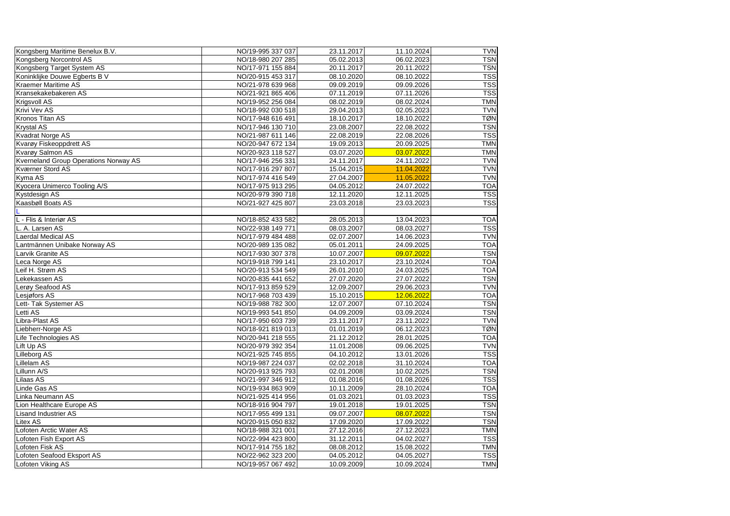| Kongsberg Maritime Benelux B.V.              | NO/19-995 337 037 | 23.11.2017 | 11.10.2024 | <b>TVN</b> |
|----------------------------------------------|-------------------|------------|------------|------------|
| Kongsberg Norcontrol AS                      | NO/18-980 207 285 | 05.02.2013 | 06.02.2023 | <b>TSN</b> |
| Kongsberg Target System AS                   | NO/17-971 155 884 | 20.11.2017 | 20.11.2022 | <b>TSN</b> |
| Koninklijke Douwe Egberts B V                | NO/20-915 453 317 | 08.10.2020 | 08.10.2022 | <b>TSS</b> |
| <b>Kraemer Maritime AS</b>                   | NO/21-978 639 968 | 09.09.2019 | 09.09.2026 | <b>TSS</b> |
| Kransekakebakeren AS                         | NO/21-921 865 406 | 07.11.2019 | 07.11.2026 | <b>TSS</b> |
| <b>Krigsvoll AS</b>                          | NO/19-952 256 084 | 08.02.2019 | 08.02.2024 | <b>TMN</b> |
| <b>Krivi Vev AS</b>                          | NO/18-992 030 518 | 29.04.2013 | 02.05.2023 | <b>TVN</b> |
| Kronos Titan AS                              | NO/17-948 616 491 | 18.10.2017 | 18.10.2022 | <b>TØN</b> |
| <b>Krystal AS</b>                            | NO/17-946 130 710 | 23.08.2007 | 22.08.2022 | <b>TSN</b> |
| <b>Kvadrat Norge AS</b>                      | NO/21-987 611 146 | 22.08.2019 | 22.08.2026 | <b>TSS</b> |
| Kvarøy Fiskeoppdrett AS                      | NO/20-947 672 134 | 19.09.2013 | 20.09.2025 | <b>TMN</b> |
| Kvarøy Salmon AS                             | NO/20-923 118 527 | 03.07.2020 | 03.07.2022 | <b>TMN</b> |
| <b>Kverneland Group Operations Norway AS</b> | NO/17-946 256 331 | 24.11.2017 | 24.11.2022 | <b>TVN</b> |
| <b>Kværner Stord AS</b>                      | NO/17-916 297 807 | 15.04.2015 | 11.04.2022 | <b>TVN</b> |
| Kyma AS                                      | NO/17-974 416 549 | 27.04.2007 | 11.05.2022 | <b>TVN</b> |
| Kyocera Unimerco Tooling A/S                 | NO/17-975 913 295 | 04.05.2012 | 24.07.2022 | <b>TOA</b> |
| Kystdesign AS                                | NO/20-979 390 718 | 12.11.2020 | 12.11.2025 | <b>TSS</b> |
| Kaasbøll Boats AS                            | NO/21-927 425 807 | 23.03.2018 | 23.03.2023 | <b>TSS</b> |
|                                              |                   |            |            |            |
| L - Flis & Interiør AS                       | NO/18-852 433 582 | 28.05.2013 | 13.04.2023 | <b>TOA</b> |
| L. A. Larsen AS                              | NO/22-938 149 771 | 08.03.2007 | 08.03.2027 | <b>TSS</b> |
| Laerdal Medical AS                           | NO/17-979 484 488 | 02.07.2007 | 14.06.2023 | <b>TVN</b> |
| Lantmännen Unibake Norway AS                 | NO/20-989 135 082 | 05.01.2011 | 24.09.2025 | <b>TOA</b> |
| Larvik Granite AS                            | NO/17-930 307 378 | 10.07.2007 | 09.07.2022 | <b>TSN</b> |
| Leca Norge AS                                | NO/19-918 799 141 | 23.10.2017 | 23.10.2024 | <b>TOA</b> |
| Leif H. Strøm AS                             | NO/20-913 534 549 | 26.01.2010 | 24.03.2025 | <b>TOA</b> |
| Lekekassen AS                                | NO/20-835 441 652 | 27.07.2020 | 27.07.2022 | <b>TSN</b> |
| Lerøy Seafood AS                             | NO/17-913 859 529 | 12.09.2007 | 29.06.2023 | <b>TVN</b> |
| Lesjøfors AS                                 | NO/17-968 703 439 | 15.10.2015 | 12.06.2022 | <b>TOA</b> |
| Lett- Tak Systemer AS                        | NO/19-988 782 300 | 12.07.2007 | 07.10.2024 | <b>TSN</b> |
| Letti AS                                     | NO/19-993 541 850 | 04.09.2009 | 03.09.2024 | <b>TSN</b> |
| Libra-Plast AS                               | NO/17-950 603 739 | 23.11.2017 | 23.11.2022 | <b>TVN</b> |
| Liebherr-Norge AS                            | NO/18-921 819 013 | 01.01.2019 | 06.12.2023 | <b>TØN</b> |
| Life Technologies AS                         | NO/20-941 218 555 | 21.12.2012 | 28.01.2025 | <b>TOA</b> |
| Lift Up AS                                   | NO/20-979 392 354 | 11.01.2008 | 09.06.2025 | <b>TVN</b> |
| Lilleborg AS                                 | NO/21-925 745 855 | 04.10.2012 | 13.01.2026 | <b>TSS</b> |
| Lillelam AS                                  | NO/19-987 224 037 | 02.02.2018 | 31.10.2024 | <b>TOA</b> |
| Lillunn A/S                                  | NO/20-913 925 793 | 02.01.2008 | 10.02.2025 | <b>TSN</b> |
| Lilaas AS                                    | NO/21-997 346 912 | 01.08.2016 | 01.08.2026 | <b>TSS</b> |
| Linde Gas AS                                 | NO/19-934 863 909 | 10.11.2009 | 28.10.2024 | <b>TOA</b> |
| Linka Neumann AS                             | NO/21-925 414 956 | 01.03.2021 | 01.03.2023 | <b>TSS</b> |
| Lion Healthcare Europe AS                    | NO/18-916 904 797 | 19.01.2018 | 19.01.2025 | <b>TSN</b> |
| <b>Lisand Industrier AS</b>                  | NO/17-955 499 131 | 09.07.2007 | 08.07.2022 | <b>TSN</b> |
| Litex AS                                     | NO/20-915 050 832 | 17.09.2020 | 17.09.2022 | <b>TSN</b> |
| Lofoten Arctic Water AS                      | NO/18-988 321 001 | 27.12.2016 | 27.12.2023 | <b>TMN</b> |
| Lofoten Fish Export AS                       | NO/22-994 423 800 | 31.12.2011 | 04.02.2027 | <b>TSS</b> |
| Lofoten Fisk AS                              | NO/17-914 755 182 | 08.08.2012 | 15.08.2022 | <b>TMN</b> |
| Lofoten Seafood Eksport AS                   | NO/22-962 323 200 | 04.05.2012 | 04.05.2027 | <b>TSS</b> |
| Lofoten Viking AS                            | NO/19-957 067 492 | 10.09.2009 | 10.09.2024 | <b>TMN</b> |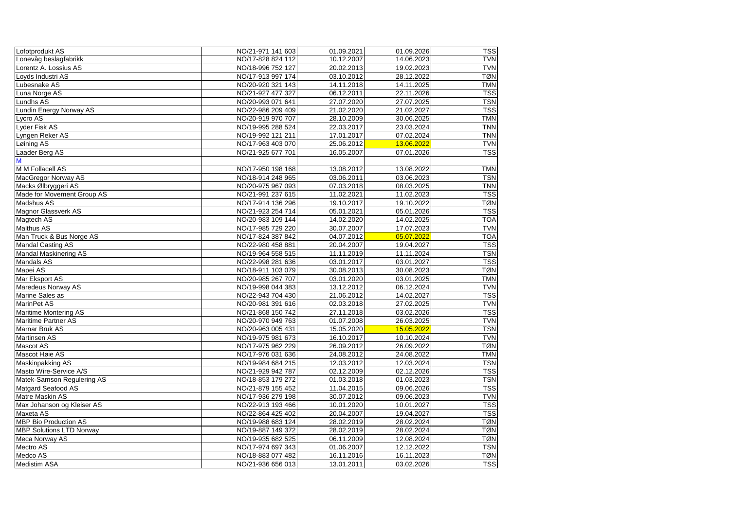| Lofotprodukt AS                 | NO/21-971 141 603 | 01.09.2021 | 01.09.2026 | <b>TSS</b> |
|---------------------------------|-------------------|------------|------------|------------|
| Lonevåg beslagfabrikk           | NO/17-828 824 112 | 10.12.2007 | 14.06.2023 | <b>TVN</b> |
| Lorentz A. Lossius AS           | NO/18-996 752 127 | 20.02.2013 | 19.02.2023 | <b>TVN</b> |
| Loyds Industri AS               | NO/17-913 997 174 | 03.10.2012 | 28.12.2022 | <b>TØN</b> |
| Lubesnake AS                    | NO/20-920 321 143 | 14.11.2018 | 14.11.2025 | <b>TMN</b> |
| Luna Norge AS                   | NO/21-927 477 327 | 06.12.2011 | 22.11.2026 | <b>TSS</b> |
| Lundhs AS                       | NO/20-993 071 641 | 27.07.2020 | 27.07.2025 | <b>TSN</b> |
| Lundin Energy Norway AS         | NO/22-986 209 409 | 21.02.2020 | 21.02.2027 | <b>TSS</b> |
| Lycro AS                        | NO/20-919 970 707 | 28.10.2009 | 30.06.2025 | <b>TMN</b> |
| Lyder Fisk AS                   | NO/19-995 288 524 | 22.03.2017 | 23.03.2024 | <b>TNN</b> |
| Lyngen Reker AS                 | NO/19-992 121 211 | 17.01.2017 | 07.02.2024 | <b>TNN</b> |
| Løining AS                      | NO/17-963 403 070 | 25.06.2012 | 13.06.2022 | <b>TVN</b> |
| Laader Berg AS                  | NO/21-925 677 701 | 16.05.2007 | 07.01.2026 | <b>TSS</b> |
| M                               |                   |            |            |            |
| M M Follacell AS                | NO/17-950 198 168 | 13.08.2012 | 13.08.2022 | <b>TMN</b> |
| MacGregor Norway AS             | NO/18-914 248 965 | 03.06.2011 | 03.06.2023 | <b>TSN</b> |
| Macks Ølbryggeri AS             | NO/20-975 967 093 | 07.03.2018 | 08.03.2025 | <b>TNN</b> |
| Made for Movement Group AS      | NO/21-991 237 615 | 11.02.2021 | 11.02.2023 | <b>TSS</b> |
| <b>Madshus AS</b>               | NO/17-914 136 296 | 19.10.2017 | 19.10.2022 | <b>TØN</b> |
| <b>Magnor Glassverk AS</b>      | NO/21-923 254 714 | 05.01.2021 | 05.01.2026 | <b>TSS</b> |
| Magtech AS                      | NO/20-983 109 144 | 14.02.2020 | 14.02.2025 | <b>TOA</b> |
| <b>Malthus AS</b>               | NO/17-985 729 220 | 30.07.2007 | 17.07.2023 | <b>TVN</b> |
| Man Truck & Bus Norge AS        | NO/17-824 387 842 | 04.07.2012 | 05.07.2022 | <b>TOA</b> |
| <b>Mandal Casting AS</b>        | NO/22-980 458 881 | 20.04.2007 | 19.04.2027 | <b>TSS</b> |
| Mandal Maskinering AS           | NO/19-964 558 515 | 11.11.2019 | 11.11.2024 | <b>TSN</b> |
| Mandals AS                      | NO/22-998 281 636 | 03.01.2017 | 03.01.2027 | <b>TSS</b> |
| Mapei AS                        | NO/18-911 103 079 | 30.08.2013 | 30.08.2023 | <b>TØN</b> |
| Mar Eksport AS                  | NO/20-985 267 707 | 03.01.2020 | 03.01.2025 | <b>TMN</b> |
| Maredeus Norway AS              | NO/19-998 044 383 | 13.12.2012 | 06.12.2024 | <b>TVN</b> |
| Marine Sales as                 | NO/22-943 704 430 | 21.06.2012 | 14.02.2027 | <b>TSS</b> |
| <b>MarinPet AS</b>              | NO/20-981 391 616 | 02.03.2018 | 27.02.2025 | <b>TVN</b> |
| Maritime Montering AS           | NO/21-868 150 742 | 27.11.2018 | 03.02.2026 | <b>TSS</b> |
| Maritime Partner AS             | NO/20-970 949 763 | 01.07.2008 | 26.03.2025 | <b>TVN</b> |
| Marnar Bruk AS                  | NO/20-963 005 431 | 15.05.2020 | 15.05.2022 | <b>TSN</b> |
| <b>Martinsen AS</b>             | NO/19-975 981 673 | 16.10.2017 | 10.10.2024 | <b>TVN</b> |
| Mascot AS                       | NO/17-975 962 229 | 26.09.2012 | 26.09.2022 | <b>TØN</b> |
| Mascot Høie AS                  | NO/17-976 031 636 | 24.08.2012 | 24.08.2022 | <b>TMN</b> |
| Maskinpakking AS                | NO/19-984 684 215 | 12.03.2012 | 12.03.2024 | <b>TSN</b> |
| Masto Wire-Service A/S          | NO/21-929 942 787 | 02.12.2009 | 02.12.2026 | <b>TSS</b> |
| Matek-Samson Regulering AS      | NO/18-853 179 272 | 01.03.2018 | 01.03.2023 | <b>TSN</b> |
| <b>Matgard Seafood AS</b>       | NO/21-879 155 452 | 11.04.2015 | 09.06.2026 | <b>TSS</b> |
| <b>Matre Maskin AS</b>          | NO/17-936 279 198 | 30.07.2012 | 09.06.2023 | <b>TVN</b> |
| Max Johanson og Kleiser AS      | NO/22-913 193 466 | 10.01.2020 | 10.01.2027 | <b>TSS</b> |
| Maxeta AS                       | NO/22-864 425 402 | 20.04.2007 | 19.04.2027 | <b>TSS</b> |
| <b>MBP Bio Production AS</b>    | NO/19-988 683 124 | 28.02.2019 | 28.02.2024 | <b>TØN</b> |
| <b>MBP Solutions LTD Norway</b> | NO/19-887 149 372 | 28.02.2019 | 28.02.2024 | <b>TØN</b> |
| Meca Norway AS                  | NO/19-935 682 525 | 06.11.2009 | 12.08.2024 | <b>TØN</b> |
| Mectro AS                       | NO/17-974 697 343 | 01.06.2007 | 12.12.2022 | <b>TSN</b> |
|                                 | NO/18-883 077 482 |            |            | <b>TØN</b> |
| Medco AS                        |                   | 16.11.2016 | 16.11.2023 |            |
| <b>Medistim ASA</b>             | NO/21-936 656 013 | 13.01.2011 | 03.02.2026 | <b>TSS</b> |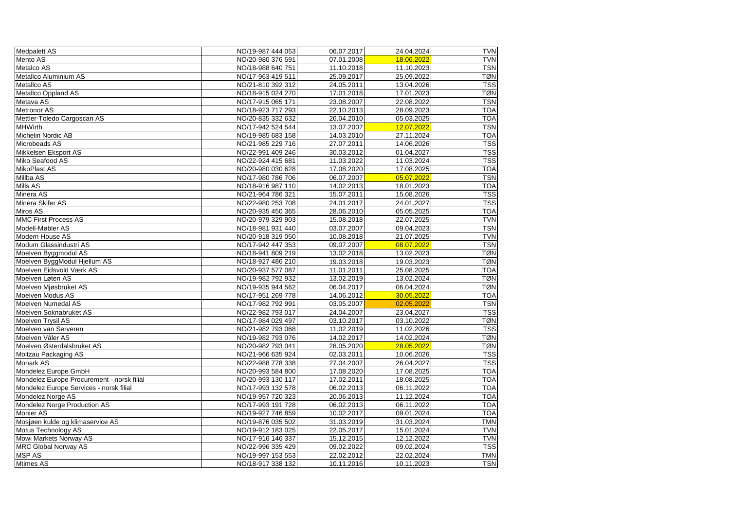| <b>Medpalett AS</b>                        | NO/19-987 444 053 | 06.07.2017 | 24.04.2024 | <b>TVN</b> |
|--------------------------------------------|-------------------|------------|------------|------------|
| Mento AS                                   | NO/20-980 376 591 | 07.01.2008 | 18.06.2022 | <b>TVN</b> |
| Metalco AS                                 | NO/18-988 640 751 | 11.10.2018 | 11.10.2023 | <b>TSN</b> |
| Metallco Aluminium AS                      | NO/17-963 419 511 | 25.09.2017 | 25.09.2022 | <b>TØN</b> |
| Metallco AS                                | NO/21-810 392 312 | 24.05.2011 | 13.04.2026 | <b>TSS</b> |
| Metallco Oppland AS                        | NO/18-915 024 270 | 17.01.2018 | 17.01.2023 | <b>TØN</b> |
| Metava AS                                  | NO/17-915 065 171 | 23.08.2007 | 22.08.2022 | <b>TSN</b> |
| <b>Metronor AS</b>                         | NO/18-923 717 293 | 22.10.2013 | 28.09.2023 | <b>TOA</b> |
| Mettler-Toledo Cargoscan AS                | NO/20-835 332 632 | 26.04.2010 | 05.03.2025 | <b>TOA</b> |
| <b>MHWirth</b>                             | NO/17-942 524 544 | 13.07.2007 | 12.07.2022 | <b>TSN</b> |
| Michelin Nordic AB                         | NO/19-985 683 158 | 14.03.2010 | 27.11.2024 | <b>TOA</b> |
| Microbeads AS                              | NO/21-985 229 716 | 27.07.2011 | 14.06.2026 | <b>TSS</b> |
| Mikkelsen Eksport AS                       | NO/22-991 409 246 | 30.03.2012 | 01.04.2027 | <b>TSS</b> |
| Miko Seafood AS                            | NO/22-924 415 681 | 11.03.2022 | 11.03.2024 | <b>TSS</b> |
| MikoPlast AS                               | NO/20-980 030 628 | 17.08.2020 | 17.08.2025 | <b>TOA</b> |
| Millba AS                                  | NO/17-980 786 706 | 06.07.2007 | 05.07.2022 | <b>TSN</b> |
| Mills AS                                   | NO/18-916 987 110 | 14.02.2013 | 18.01.2023 | <b>TOA</b> |
| Minera AS                                  | NO/21-964 786 321 | 15.07.2011 | 15.08.2026 | <b>TSS</b> |
| Minera Skifer AS                           | NO/22-980 253 708 | 24.01.2017 | 24.01.2027 | <b>TSS</b> |
| Miros AS                                   | NO/20-935 450 365 | 28.06.2010 | 05.05.2025 | <b>TOA</b> |
| <b>MMC First Process AS</b>                | NO/20-979 329 903 | 15.08.2018 | 22.07.2025 | <b>TVN</b> |
| Modell-Møbler AS                           | NO/18-981 931 440 | 03.07.2007 | 09.04.2023 | <b>TSN</b> |
| <b>Modern House AS</b>                     | NO/20-918 319 050 | 10.08.2018 | 21.07.2025 | <b>TVN</b> |
| Modum Glassindustri AS                     | NO/17-942 447 353 | 09.07.2007 | 08.07.2022 | <b>TSN</b> |
| Moelven Byggmodul AS                       | NO/18-941 809 219 | 13.02.2018 | 13.02.2023 | <b>TØN</b> |
| Moelven ByggModul Hjellum AS               | NO/18-927 486 210 | 19.03.2018 | 19.03.2023 | <b>TØN</b> |
| Moelven Eidsvold Værk AS                   | NO/20-937 577 087 | 11.01.2011 | 25.08.2025 | <b>TOA</b> |
| Moelven Løten AS                           | NO/19-982 792 932 | 13.02.2019 | 13.02.2024 | <b>TØN</b> |
| Moelven Mjøsbruket AS                      | NO/19-935 944 562 | 06.04.2017 | 06.04.2024 | <b>TØN</b> |
| Moelven Modus AS                           | NO/17-951 269 778 | 14.06.2012 | 30.05.2022 | <b>TOA</b> |
| Moelven Numedal AS                         | NO/17-982 792 991 | 03.05.2007 | 02.05.2022 | <b>TSN</b> |
| Moelven Soknabruket AS                     | NO/22-982 793 017 | 24.04.2007 | 23.04.2027 | <b>TSS</b> |
| Moelven Trysil AS                          | NO/17-984 029 497 | 03.10.2017 | 03.10.2022 | <b>TØN</b> |
| Moelven van Serveren                       | NO/21-982 793 068 | 11.02.2019 | 11.02.2026 | <b>TSS</b> |
| Moelven Våler AS                           | NO/19-982 793 076 | 14.02.2017 | 14.02.2024 | <b>TØN</b> |
| Moelven Østerdalsbruket AS                 | NO/20-982 793 041 | 28.05.2020 | 28.05.2022 | <b>TØN</b> |
| Moltzau Packaging AS                       | NO/21-966 635 924 | 02.03.2011 | 10.06.2026 | <b>TSS</b> |
| Monark AS                                  | NO/22-988 778 338 | 27.04.2007 | 26.04.2027 | <b>TSS</b> |
| Mondelez Europe GmbH                       | NO/20-993 584 800 | 17.08.2020 | 17.08.2025 | <b>TOA</b> |
| Mondelez Europe Procurement - norsk filial | NO/20-993 130 117 | 17.02.2011 | 18.08.2025 | <b>TOA</b> |
| Mondelez Europe Services - norsk filial    | NO/17-993 132 578 | 06.02.2013 | 06.11.2022 | <b>TOA</b> |
| Mondelez Norge AS                          | NO/19-957 720 323 | 20.06.2013 | 11.12.2024 | <b>TOA</b> |
| Mondelez Norge Production AS               | NO/17-993 191 728 | 06.02.2013 | 06.11.2022 | <b>TOA</b> |
| Monier AS                                  | NO/19-927 746 859 | 10.02.2017 | 09.01.2024 | <b>TOA</b> |
| Mosjøen kulde og klimaservice AS           | NO/19-876 035 502 | 31.03.2019 | 31.03.2024 | <b>TMN</b> |
| Motus Technology AS                        | NO/19-912 183 025 | 22.05.2017 | 15.01.2024 | <b>TVN</b> |
| Mowi Markets Norway AS                     | NO/17-916 146 337 | 15.12.2015 | 12.12.2022 | <b>TVN</b> |
| <b>MRC Global Norway AS</b>                | NO/22-996 335 429 | 09.02.2022 | 09.02.2024 | <b>TSS</b> |
| <b>MSP AS</b>                              | NO/19-997 153 553 | 22.02.2012 | 22.02.2024 | <b>TMN</b> |
| Mtimes AS                                  | NO/18-917 338 132 | 10.11.2016 | 10.11.2023 | <b>TSN</b> |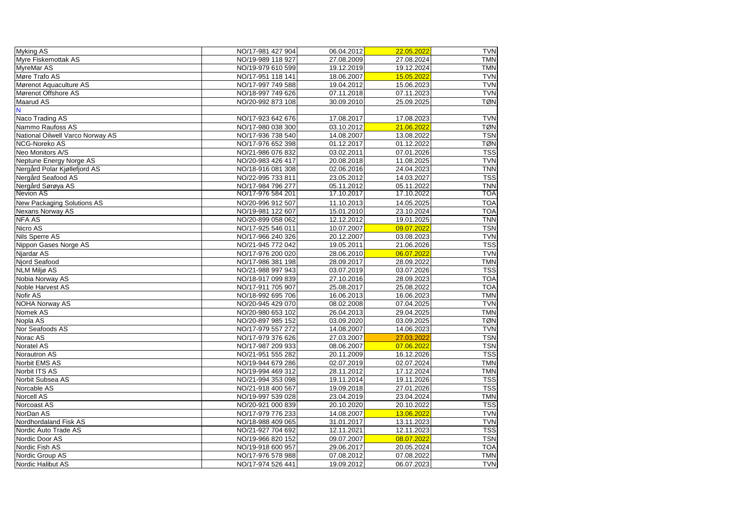| Myking AS                        | NO/17-981 427 904 | 06.04.2012 | 22.05.2022 | <b>TVN</b> |
|----------------------------------|-------------------|------------|------------|------------|
| Myre Fiskemottak AS              | NO/19-989 118 927 | 27.08.2009 | 27.08.2024 | <b>TMN</b> |
| MyreMar AS                       | NO/19-979 610 599 | 19.12.2019 | 19.12.2024 | <b>TMN</b> |
| Møre Trafo AS                    | NO/17-951 118 141 | 18.06.2007 | 15.05.2022 | <b>TVN</b> |
| Mørenot Aquaculture AS           | NO/17-997 749 588 | 19.04.2012 | 15.06.2023 | <b>TVN</b> |
| Mørenot Offshore AS              | NO/18-997 749 626 | 07.11.2018 | 07.11.2023 | <b>TVN</b> |
| Maarud AS                        | NO/20-992 873 108 | 30.09.2010 | 25.09.2025 | <b>TØN</b> |
|                                  |                   |            |            |            |
| Naco Trading AS                  | NO/17-923 642 676 | 17.08.2017 | 17.08.2023 | <b>TVN</b> |
| Nammo Raufoss AS                 | NO/17-980 038 300 | 03.10.2012 | 21.06.2022 | <b>TØN</b> |
| National Oilwell Varco Norway AS | NO/17-936 738 540 | 14.08.2007 | 13.08.2022 | <b>TSN</b> |
| NCG-Noreko AS                    | NO/17-976 652 398 | 01.12.2017 | 01.12.2022 | <b>TØN</b> |
| Neo Monitors A/S                 | NO/21-986 076 832 | 03.02.2011 | 07.01.2026 | <b>TSS</b> |
| Neptune Energy Norge AS          | NO/20-983 426 417 | 20.08.2018 | 11.08.2025 | <b>TVN</b> |
| Nergård Polar Kjøllefjord AS     | NO/18-916 081 308 | 02.06.2016 | 24.04.2023 | <b>TNN</b> |
| Nergård Seafood AS               | NO/22-995 733 811 | 23.05.2012 | 14.03.2027 | <b>TSS</b> |
| Nergård Sørøya AS                | NO/17-984 796 277 | 05.11.2012 | 05.11.2022 | <b>TNN</b> |
| <b>Nevion AS</b>                 | NO/17-976 584 201 | 17.10.2017 | 17.10.2022 | <b>TOA</b> |
| New Packaging Solutions AS       | NO/20-996 912 507 | 11.10.2013 | 14.05.2025 | <b>TOA</b> |
| Nexans Norway AS                 | NO/19-981 122 607 | 15.01.2010 | 23.10.2024 | <b>TOA</b> |
| <b>NFA AS</b>                    | NO/20-899 058 062 | 12.12.2012 | 19.01.2025 | <b>TNN</b> |
| Nicro AS                         | NO/17-925 546 011 | 10.07.2007 | 09.07.2022 | <b>TSN</b> |
| Nils Sperre AS                   | NO/17-966 240 326 | 20.12.2007 | 03.08.2023 | <b>TVN</b> |
| Nippon Gases Norge AS            | NO/21-945 772 042 | 19.05.2011 | 21.06.2026 | <b>TSS</b> |
| Njardar AS                       | NO/17-976 200 020 | 28.06.2010 | 06.07.2022 | <b>TVN</b> |
| Njord Seafood                    | NO/17-986 381 198 | 28.09.2017 | 28.09.2022 | <b>TMN</b> |
| <b>NLM Miljø AS</b>              | NO/21-988 997 943 | 03.07.2019 | 03.07.2026 | <b>TSS</b> |
| Nobia Norway AS                  | NO/18-917 099 839 | 27.10.2016 | 28.09.2023 | <b>TOA</b> |
| Noble Harvest AS                 | NO/17-911 705 907 | 25.08.2017 | 25.08.2022 | <b>TOA</b> |
| Nofir AS                         | NO/18-992 695 706 | 16.06.2013 | 16.06.2023 | <b>TMN</b> |
| <b>NOHA Norway AS</b>            | NO/20-945 429 070 | 08.02.2008 | 07.04.2025 | <b>TVN</b> |
| Nomek AS                         | NO/20-980 653 102 | 26.04.2013 | 29.04.2025 | <b>TMN</b> |
| Nopla AS                         | NO/20-897 985 152 | 03.09.2020 | 03.09.2025 | TØN        |
| Nor Seafoods AS                  | NO/17-979 557 272 | 14.08.2007 | 14.06.2023 | <b>TVN</b> |
| Norac AS                         | NO/17-979 376 626 | 27.03.2007 | 27.03.2022 | <b>TSN</b> |
| Noratel AS                       | NO/17-987 209 933 | 08.06.2007 | 07.06.2022 | <b>TSN</b> |
| Norautron AS                     | NO/21-951 555 282 | 20.11.2009 | 16.12.2026 | <b>TSS</b> |
| Norbit EMS AS                    | NO/19-944 679 286 | 02.07.2019 | 02.07.2024 | <b>TMN</b> |
| Norbit ITS AS                    | NO/19-994 469 312 | 28.11.2012 | 17.12.2024 | <b>TMN</b> |
| Norbit Subsea AS                 | NO/21-994 353 098 | 19.11.2014 | 19.11.2026 | <b>TSS</b> |
| Norcable AS                      | NO/21-918 400 567 | 19.09.2018 | 27.01.2026 | <b>TSS</b> |
| Norcell AS                       | NO/19-997 539 028 | 23.04.2019 | 23.04.2024 | <b>TMN</b> |
| Norcoast AS                      | NO/20-921 000 839 | 20.10.2020 | 20.10.2022 | <b>TSS</b> |
| NorDan AS                        | NO/17-979 776 233 | 14.08.2007 | 13.06.2022 | <b>TVN</b> |
| Nordhordaland Fisk AS            | NO/18-988 409 065 | 31.01.2017 | 13.11.2023 | <b>TVN</b> |
| Nordic Auto Trade AS             | NO/21-927 704 692 | 12.11.2021 | 12.11.2023 | <b>TSS</b> |
| Nordic Door AS                   | NO/19-966 820 152 | 09.07.2007 | 08.07.2022 | <b>TSN</b> |
| Nordic Fish AS                   | NO/19-918 600 957 | 29.06.2017 | 20.05.2024 | <b>TOA</b> |
| Nordic Group AS                  | NO/17-976 578 988 | 07.08.2012 | 07.08.2022 | <b>TMN</b> |
| Nordic Halibut AS                | NO/17-974 526 441 | 19.09.2012 | 06.07.2023 | <b>TVN</b> |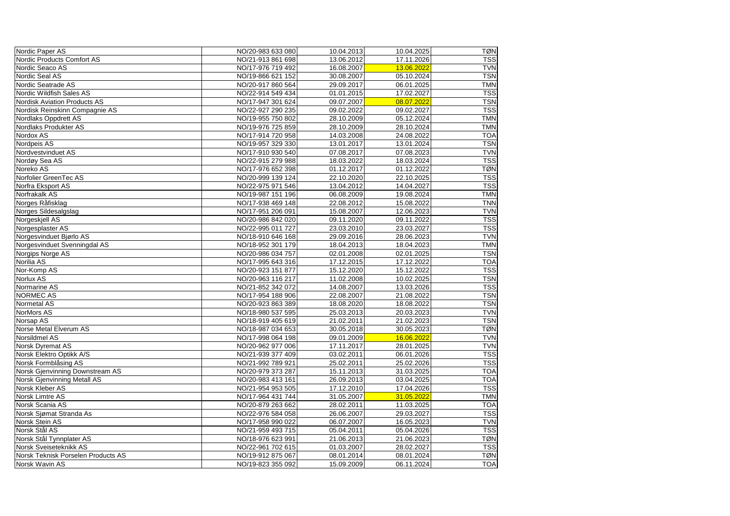| Nordic Paper AS                    | NO/20-983 633 080 | 10.04.2013 | 10.04.2025 | <b>TØN</b> |
|------------------------------------|-------------------|------------|------------|------------|
| Nordic Products Comfort AS         | NO/21-913 861 698 | 13.06.2012 | 17.11.2026 | <b>TSS</b> |
| Nordic Seaco AS                    | NO/17-976 719 492 | 16.08.2007 | 13.06.2022 | <b>TVN</b> |
| Nordic Seal AS                     | NO/19-866 621 152 | 30.08.2007 | 05.10.2024 | <b>TSN</b> |
| Nordic Seatrade AS                 | NO/20-917 860 564 | 29.09.2017 | 06.01.2025 | <b>TMN</b> |
| Nordic Wildfish Sales AS           | NO/22-914 549 434 | 01.01.2015 | 17.02.2027 | <b>TSS</b> |
| Nordisk Aviation Products AS       | NO/17-947 301 624 | 09.07.2007 | 08.07.2022 | <b>TSN</b> |
| Nordisk Reinskinn Compagnie AS     | NO/22-927 290 235 | 09.02.2022 | 09.02.2027 | <b>TSS</b> |
| Nordlaks Oppdrett AS               | NO/19-955 750 802 | 28.10.2009 | 05.12.2024 | <b>TMN</b> |
| Nordlaks Produkter AS              | NO/19-976 725 859 | 28.10.2009 | 28.10.2024 | <b>TMN</b> |
| Nordox AS                          | NO/17-914 720 958 | 14.03.2008 | 24.08.2022 | <b>TOA</b> |
| Nordpeis AS                        | NO/19-957 329 330 | 13.01.2017 | 13.01.2024 | <b>TSN</b> |
| Nordvestvinduet AS                 | NO/17-910 930 540 | 07.08.2017 | 07.08.2023 | <b>TVN</b> |
| Nordøy Sea AS                      | NO/22-915 279 988 | 18.03.2022 | 18.03.2024 | <b>TSS</b> |
| Noreko AS                          | NO/17-976 652 398 | 01.12.2017 | 01.12.2022 | <b>TØN</b> |
| Norfolier GreenTec AS              | NO/20-999 139 124 | 22.10.2020 | 22.10.2025 | <b>TSS</b> |
| Norfra Eksport AS                  | NO/22-975 971 546 | 13.04.2012 | 14.04.2027 | <b>TSS</b> |
| Norfrakalk AS                      | NO/19-987 151 196 | 06.08.2009 | 19.08.2024 | <b>TMN</b> |
| Norges Råfisklag                   | NO/17-938 469 148 | 22.08.2012 | 15.08.2022 | <b>TNN</b> |
| Norges Sildesalgslag               | NO/17-951 206 091 | 15.08.2007 | 12.06.2023 | <b>TVN</b> |
| Norgeskjell AS                     | NO/20-986 842 020 | 09.11.2020 | 09.11.2022 | <b>TSS</b> |
| Norgesplaster AS                   | NO/22-995 011 727 | 23.03.2010 | 23.03.2027 | <b>TSS</b> |
| Norgesvinduet Bjørlo AS            | NO/18-910 646 168 | 29.09.2016 | 28.06.2023 | <b>TVN</b> |
| Norgesvinduet Svenningdal AS       | NO/18-952 301 179 | 18.04.2013 | 18.04.2023 | <b>TMN</b> |
| Norgips Norge AS                   | NO/20-986 034 757 | 02.01.2008 | 02.01.2025 | <b>TSN</b> |
| Norilia AS                         | NO/17-995 643 316 | 17.12.2015 | 17.12.2022 | <b>TOA</b> |
| Nor-Komp AS                        | NO/20-923 151 877 | 15.12.2020 | 15.12.2022 | <b>TSS</b> |
| Norlux AS                          | NO/20-963 116 217 | 11.02.2008 | 10.02.2025 | <b>TSN</b> |
| Normarine AS                       | NO/21-852 342 072 | 14.08.2007 | 13.03.2026 | <b>TSS</b> |
| <b>NORMEC AS</b>                   | NO/17-954 188 906 | 22.08.2007 | 21.08.2022 | <b>TSN</b> |
| <b>Normetal AS</b>                 | NO/20-923 863 389 | 18.08.2020 | 18.08.2022 | <b>TSN</b> |
| NorMors AS                         | NO/18-980 537 595 | 25.03.2013 | 20.03.2023 | <b>TVN</b> |
| Norsap AS                          | NO/18-919 405 619 | 21.02.2011 | 21.02.2023 | TSN        |
| Norse Metal Elverum AS             | NO/18-987 034 653 | 30.05.2018 | 30.05.2023 | <b>TØN</b> |
| Norsildmel AS                      | NO/17-998 064 198 | 09.01.2009 | 16.06.2022 | <b>TVN</b> |
| Norsk Dyremat AS                   | NO/20-962 977 006 | 17.11.2017 | 28.01.2025 | <b>TVN</b> |
| Norsk Elektro Optikk A/S           | NO/21-939 377 409 | 03.02.2011 | 06.01.2026 | <b>TSS</b> |
| Norsk Formblåsing AS               | NO/21-992 789 921 | 25.02.2011 | 25.02.2026 | <b>TSS</b> |
| Norsk Gjenvinning Downstream AS    | NO/20-979 373 287 | 15.11.2013 | 31.03.2025 | <b>TOA</b> |
| <b>Norsk Gjenvinning Metall AS</b> | NO/20-983 413 161 | 26.09.2013 | 03.04.2025 | <b>TOA</b> |
| Norsk Kleber AS                    | NO/21-954 953 505 | 17.12.2010 | 17.04.2026 | <b>TSS</b> |
| Norsk Limtre AS                    | NO/17-964 431 744 | 31.05.2007 | 31.05.2022 | <b>TMN</b> |
| Norsk Scania AS                    | NO/20-879 263 662 | 28.02.2011 | 11.03.2025 | <b>TOA</b> |
| Norsk Sjømat Stranda As            | NO/22-976 584 058 | 26.06.2007 | 29.03.2027 | <b>TSS</b> |
| Norsk Stein AS                     | NO/17-958 990 022 | 06.07.2007 | 16.05.2023 | <b>TVN</b> |
| Norsk Stål AS                      | NO/21-959 493 715 | 05.04.2011 | 05.04.2026 | <b>TSS</b> |
| Norsk Stål Tynnplater AS           | NO/18-976 623 991 | 21.06.2013 | 21.06.2023 | <b>TØN</b> |
| Norsk Sveiseteknikk AS             | NO/22-961 702 615 | 01.03.2007 | 28.02.2027 | <b>TSS</b> |
| Norsk Teknisk Porselen Products AS | NO/19-912 875 067 | 08.01.2014 | 08.01.2024 | <b>TØN</b> |
| Norsk Wavin AS                     | NO/19-823 355 092 | 15.09.2009 | 06.11.2024 | <b>TOA</b> |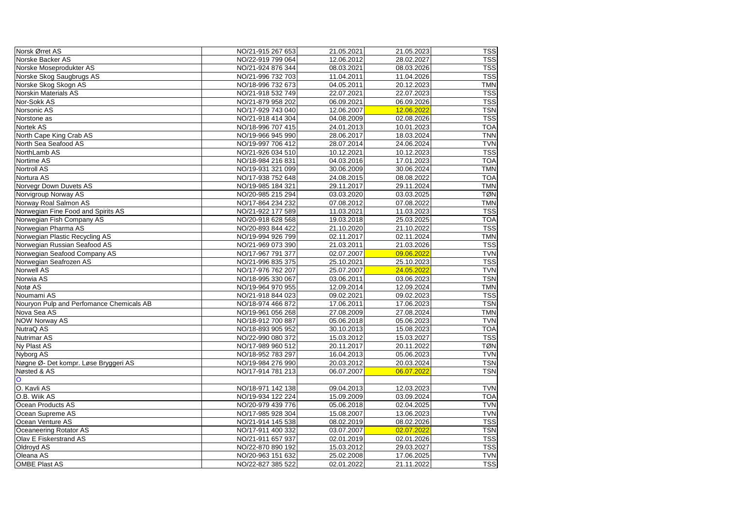| Norsk Ørret AS                           | NO/21-915 267 653 | 21.05.2021 | 21.05.2023 | <b>TSS</b> |
|------------------------------------------|-------------------|------------|------------|------------|
| Norske Backer AS                         | NO/22-919 799 064 | 12.06.2012 | 28.02.2027 | <b>TSS</b> |
| Norske Moseprodukter AS                  | NO/21-924 876 344 | 08.03.2021 | 08.03.2026 | <b>TSS</b> |
| Norske Skog Saugbrugs AS                 | NO/21-996 732 703 | 11.04.2011 | 11.04.2026 | <b>TSS</b> |
| Norske Skog Skogn AS                     | NO/18-996 732 673 | 04.05.2011 | 20.12.2023 | <b>TMN</b> |
| Norskin Materials AS                     | NO/21-918 532 749 | 22.07.2021 | 22.07.2023 | <b>TSS</b> |
| Nor-Sokk AS                              | NO/21-879 958 202 | 06.09.2021 | 06.09.2026 | <b>TSS</b> |
| Norsonic AS                              | NO/17-929 743 040 | 12.06.2007 | 12.06.2022 | <b>TSN</b> |
| Norstone as                              | NO/21-918 414 304 | 04.08.2009 | 02.08.2026 | <b>TSS</b> |
| Nortek AS                                | NO/18-996 707 415 | 24.01.2013 | 10.01.2023 | <b>TOA</b> |
| North Cape King Crab AS                  | NO/19-966 945 990 | 28.06.2017 | 18.03.2024 | <b>TNN</b> |
| North Sea Seafood AS                     | NO/19-997 706 412 | 28.07.2014 | 24.06.2024 | <b>TVN</b> |
| NorthLamb AS                             | NO/21-926 034 510 | 10.12.2021 | 10.12.2023 | <b>TSS</b> |
| Nortime AS                               | NO/18-984 216 831 | 04.03.2016 | 17.01.2023 | <b>TOA</b> |
| <b>Nortroll AS</b>                       | NO/19-931 321 099 | 30.06.2009 | 30.06.2024 | <b>TMN</b> |
| Nortura AS                               | NO/17-938 752 648 | 24.08.2015 | 08.08.2022 | <b>TOA</b> |
| Norvegr Down Duvets AS                   | NO/19-985 184 321 | 29.11.2017 | 29.11.2024 | <b>TMN</b> |
| Norvigroup Norway AS                     | NO/20-985 215 294 | 03.03.2020 | 03.03.2025 | <b>TØN</b> |
| Norway Roal Salmon AS                    | NO/17-864 234 232 | 07.08.2012 | 07.08.2022 | <b>TMN</b> |
| Norwegian Fine Food and Spirits AS       | NO/21-922 177 589 | 11.03.2021 | 11.03.2023 | <b>TSS</b> |
| Norwegian Fish Company AS                | NO/20-918 628 568 | 19.03.2018 | 25.03.2025 | <b>TOA</b> |
| Norwegian Pharma AS                      | NO/20-893 844 422 | 21.10.2020 | 21.10.2022 | <b>TSS</b> |
| Norwegian Plastic Recycling AS           | NO/19-994 926 799 | 02.11.2017 | 02.11.2024 | <b>TMN</b> |
| Norwegian Russian Seafood AS             | NO/21-969 073 390 | 21.03.2011 | 21.03.2026 | <b>TSS</b> |
| Norwegian Seafood Company AS             | NO/17-967 791 377 | 02.07.2007 | 09.06.2022 | <b>TVN</b> |
| Norwegian Seafrozen AS                   | NO/21-996 835 375 | 25.10.2021 | 25.10.2023 | <b>TSS</b> |
| <b>Norwell AS</b>                        | NO/17-976 762 207 | 25.07.2007 | 24.05.2022 | <b>TVN</b> |
| Norwia AS                                | NO/18-995 330 067 | 03.06.2011 | 03.06.2023 | <b>TSN</b> |
| Notø AS                                  | NO/19-964 970 955 | 12.09.2014 | 12.09.2024 | <b>TMN</b> |
| Noumami AS                               | NO/21-918 844 023 | 09.02.2021 | 09.02.2023 | <b>TSS</b> |
| Nouryon Pulp and Perfomance Chemicals AB | NO/18-974 466 872 | 17.06.2011 | 17.06.2023 | <b>TSN</b> |
| Nova Sea AS                              | NO/19-961 056 268 | 27.08.2009 | 27.08.2024 | <b>TMN</b> |
| <b>NOW Norway AS</b>                     | NO/18-912 700 887 | 05.06.2018 | 05.06.2023 | <b>TVN</b> |
| NutraQ AS                                | NO/18-893 905 952 | 30.10.2013 | 15.08.2023 | <b>TOA</b> |
| Nutrimar AS                              | NO/22-990 080 372 | 15.03.2012 | 15.03.2027 | <b>TSS</b> |
| Ny Plast AS                              | NO/17-989 960 512 | 20.11.2017 | 20.11.2022 | <b>TØN</b> |
| <b>Nyborg AS</b>                         | NO/18-952 783 297 | 16.04.2013 | 05.06.2023 | <b>TVN</b> |
| Nøgne Ø- Det kompr. Løse Bryggeri AS     | NO/19-984 276 990 | 20.03.2012 | 20.03.2024 | <b>TSN</b> |
| Nøsted & AS                              | NO/17-914 781 213 | 06.07.2007 | 06.07.2022 | <b>TSN</b> |
| $\mathbf O$                              |                   |            |            |            |
| O. Kavli AS                              | NO/18-971 142 138 | 09.04.2013 | 12.03.2023 | <b>TVN</b> |
| O.B. Wiik AS                             | NO/19-934 122 224 | 15.09.2009 | 03.09.2024 | <b>TOA</b> |
| Ocean Products AS                        | NO/20-979 439 776 | 05.06.2018 | 02.04.2025 | <b>TVN</b> |
| Ocean Supreme AS                         | NO/17-985 928 304 | 15.08.2007 | 13.06.2023 | <b>TVN</b> |
| <b>Ocean Venture AS</b>                  | NO/21-914 145 538 | 08.02.2019 | 08.02.2026 | <b>TSS</b> |
| Oceaneering Rotator AS                   | NO/17-911 400 332 | 03.07.2007 | 02.07.2022 | <b>TSN</b> |
| <b>Olav E Fiskerstrand AS</b>            | NO/21-911 657 937 | 02.01.2019 | 02.01.2026 | <b>TSS</b> |
| Oldroyd AS                               | NO/22-870 890 192 | 15.03.2012 | 29.03.2027 | <b>TSS</b> |
| Oleana AS                                | NO/20-963 151 632 | 25.02.2008 | 17.06.2025 | <b>TVN</b> |
| <b>OMBE Plast AS</b>                     | NO/22-827 385 522 | 02.01.2022 | 21.11.2022 | <b>TSS</b> |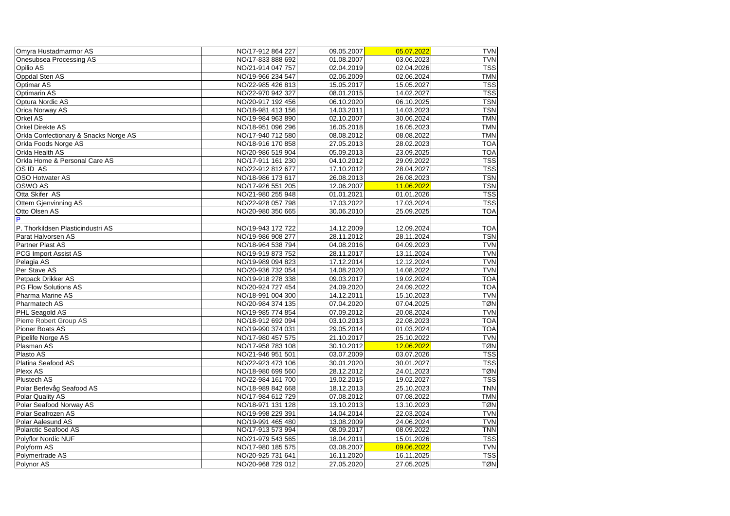| Omyra Hustadmarmor AS                    | NO/17-912 864 227 | 09.05.2007 | 05.07.2022 | <b>TVN</b> |
|------------------------------------------|-------------------|------------|------------|------------|
| Onesubsea Processing AS                  | NO/17-833 888 692 | 01.08.2007 | 03.06.2023 | <b>TVN</b> |
| Opilio AS                                | NO/21-914 047 757 | 02.04.2019 | 02.04.2026 | <b>TSS</b> |
| <b>Oppdal Sten AS</b>                    | NO/19-966 234 547 | 02.06.2009 | 02.06.2024 | <b>TMN</b> |
| <b>Optimar AS</b>                        | NO/22-985 426 813 | 15.05.2017 | 15.05.2027 | <b>TSS</b> |
| <b>Optimarin AS</b>                      | NO/22-970 942 327 | 08.01.2015 | 14.02.2027 | <b>TSS</b> |
| <b>Optura Nordic AS</b>                  | NO/20-917 192 456 | 06.10.2020 | 06.10.2025 | <b>TSN</b> |
| <b>Orica Norway AS</b>                   | NO/18-981 413 156 | 14.03.2011 | 14.03.2023 | <b>TSN</b> |
| <b>Orkel AS</b>                          | NO/19-984 963 890 | 02.10.2007 | 30.06.2024 | <b>TMN</b> |
| <b>Orkel Direkte AS</b>                  | NO/18-951 096 296 | 16.05.2018 | 16.05.2023 | <b>TMN</b> |
| Orkla Confectionary & Snacks Norge AS    | NO/17-940 712 580 | 08.08.2012 | 08.08.2022 | <b>TMN</b> |
| Orkla Foods Norge AS                     | NO/18-916 170 858 | 27.05.2013 | 28.02.2023 | <b>TOA</b> |
| <b>Orkla Health AS</b>                   | NO/20-986 519 904 | 05.09.2013 | 23.09.2025 | <b>TOA</b> |
| <b>Orkla Home &amp; Personal Care AS</b> | NO/17-911 161 230 | 04.10.2012 | 29.09.2022 | <b>TSS</b> |
| <b>OSID AS</b>                           | NO/22-912 812 677 | 17.10.2012 | 28.04.2027 | <b>TSS</b> |
| <b>OSO Hotwater AS</b>                   | NO/18-986 173 617 | 26.08.2013 | 26.08.2023 | <b>TSN</b> |
| <b>OSWO AS</b>                           | NO/17-926 551 205 | 12.06.2007 | 11.06.2022 | <b>TSN</b> |
| Otta Skifer AS                           | NO/21-980 255 948 | 01.01.2021 | 01.01.2026 | <b>TSS</b> |
| <b>Ottem Gjenvinning AS</b>              | NO/22-928 057 798 | 17.03.2022 | 17.03.2024 | <b>TSS</b> |
| <b>Otto Olsen AS</b>                     | NO/20-980 350 665 | 30.06.2010 | 25.09.2025 | <b>TOA</b> |
| P                                        |                   |            |            |            |
| P. Thorkildsen Plasticindustri AS        | NO/19-943 172 722 | 14.12.2009 | 12.09.2024 | <b>TOA</b> |
| Parat Halvorsen AS                       | NO/19-986 908 277 | 28.11.2012 | 28.11.2024 | <b>TSN</b> |
| <b>Partner Plast AS</b>                  | NO/18-964 538 794 | 04.08.2016 | 04.09.2023 | <b>TVN</b> |
| <b>PCG Import Assist AS</b>              | NO/19-919 873 752 | 28.11.2017 | 13.11.2024 | <b>TVN</b> |
| Pelagia AS                               | NO/19-989 094 823 | 17.12.2014 | 12.12.2024 | <b>TVN</b> |
| Per Stave AS                             | NO/20-936 732 054 | 14.08.2020 | 14.08.2022 | <b>TVN</b> |
| Petpack Drikker AS                       | NO/19-918 278 338 | 09.03.2017 | 19.02.2024 | <b>TOA</b> |
| <b>PG Flow Solutions AS</b>              | NO/20-924 727 454 | 24.09.2020 | 24.09.2022 | <b>TOA</b> |
| <b>Pharma Marine AS</b>                  | NO/18-991 004 300 | 14.12.2011 | 15.10.2023 | <b>TVN</b> |
| <b>Pharmatech AS</b>                     | NO/20-984 374 135 | 07.04.2020 | 07.04.2025 | <b>TØN</b> |
| <b>PHL Seagold AS</b>                    | NO/19-985 774 854 | 07.09.2012 | 20.08.2024 | <b>TVN</b> |
| Pierre Robert Group AS                   | NO/18-912 692 094 | 03.10.2013 | 22.08.2023 | <b>TOA</b> |
| <b>Pioner Boats AS</b>                   | NO/19-990 374 031 | 29.05.2014 | 01.03.2024 | <b>TOA</b> |
| Pipelife Norge AS                        | NO/17-980 457 575 | 21.10.2017 | 25.10.2022 | <b>TVN</b> |
| Plasman AS                               | NO/17-958 783 108 | 30.10.2012 | 12.06.2022 | <b>TØN</b> |
| Plasto AS                                | NO/21-946 951 501 | 03.07.2009 | 03.07.2026 | <b>TSS</b> |
| Platina Seafood AS                       | NO/22-923 473 106 | 30.01.2020 | 30.01.2027 | <b>TSS</b> |
| <b>Plexx AS</b>                          | NO/18-980 699 560 | 28.12.2012 | 24.01.2023 | <b>TØN</b> |
| <b>Plustech AS</b>                       | NO/22-984 161 700 | 19.02.2015 | 19.02.2027 | <b>TSS</b> |
| Polar Berlevåg Seafood AS                | NO/18-989 842 668 | 18.12.2013 | 25.10.2023 | <b>TNN</b> |
| <b>Polar Quality AS</b>                  | NO/17-984 612 729 | 07.08.2012 | 07.08.2022 | <b>TMN</b> |
| Polar Seafood Norway AS                  | NO/18-971 131 128 | 13.10.2013 | 13.10.2023 | <b>TØN</b> |
| Polar Seafrozen AS                       | NO/19-998 229 391 | 14.04.2014 | 22.03.2024 | <b>TVN</b> |
| Polar Aalesund AS                        | NO/19-991 465 480 | 13.08.2009 | 24.06.2024 | <b>TVN</b> |
| Polarctic Seafood AS                     | NO/17-913 573 994 | 08.09.2017 | 08.09.2022 | <b>TNN</b> |
| Polyflor Nordic NUF                      | NO/21-979 543 565 | 18.04.2011 | 15.01.2026 | <b>TSS</b> |
| Polyform AS                              | NO/17-980 185 575 | 03.08.2007 | 09.06.2022 | <b>TVN</b> |
| Polymertrade AS                          | NO/20-925 731 641 | 16.11.2020 | 16.11.2025 | <b>TSS</b> |
| Polynor AS                               | NO/20-968 729 012 | 27.05.2020 | 27.05.2025 | <b>TØN</b> |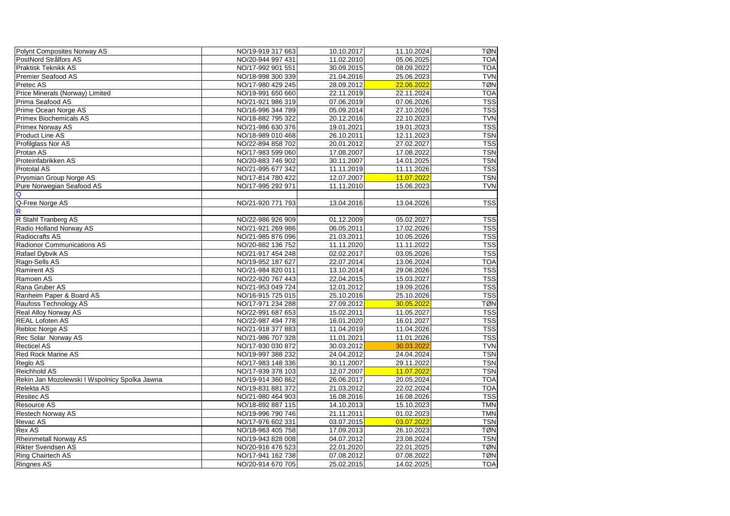| Polynt Composites Norway AS                   | NO/19-919 317 663 | 10.10.2017 | 11.10.2024 | <b>TØN</b> |
|-----------------------------------------------|-------------------|------------|------------|------------|
| PostNord Strålfors AS                         | NO/20-944 997 431 | 11.02.2010 | 05.06.2025 | <b>TOA</b> |
| <b>Praktisk Teknikk AS</b>                    | NO/17-992 901 551 | 30.09.2015 | 08.09.2022 | <b>TOA</b> |
| <b>Premier Seafood AS</b>                     | NO/18-998 300 339 | 21.04.2016 | 25.06.2023 | <b>TVN</b> |
| Pretec AS                                     | NO/17-980 429 245 | 28.09.2012 | 22.06.2022 | <b>TØN</b> |
| Price Minerals (Norway) Limited               | NO/19-991 650 660 | 22.11.2019 | 22.11.2024 | <b>TOA</b> |
| Prima Seafood AS                              | NO/21-921 986 319 | 07.06.2019 | 07.06.2026 | <b>TSS</b> |
| Prime Ocean Norge AS                          | NO/16-996 344 789 | 05.09.2014 | 27.10.2026 | <b>TSS</b> |
| <b>Primex Biochemicals AS</b>                 | NO/18-882 795 322 | 20.12.2016 | 22.10.2023 | <b>TVN</b> |
| <b>Primex Norway AS</b>                       | NO/21-986 630 376 | 19.01.2021 | 19.01.2023 | <b>TSS</b> |
| <b>Product Line AS</b>                        | NO/18-989 010 468 | 26.10.2011 | 12.11.2023 | <b>TSN</b> |
| Profilglass Nor AS                            | NO/22-894 858 702 | 20.01.2012 | 27.02.2027 | <b>TSS</b> |
| Protan AS                                     | NO/17-983 599 060 | 17.08.2007 | 17.08.2022 | <b>TSN</b> |
| Proteinfabrikken AS                           | NO/20-883 746 902 | 30.11.2007 | 14.01.2025 | <b>TSN</b> |
| <b>Prototal AS</b>                            | NO/21-995 677 342 | 11.11.2019 | 11.11.2026 | <b>TSS</b> |
| Prysmian Group Norge AS                       | NO/17-814 780 422 | 12.07.2007 | 11.07.2022 | <b>TSN</b> |
| Pure Norwegian Seafood AS                     | NO/17-995 292 971 | 11.11.2010 | 15.06.2023 | <b>TVN</b> |
| Q                                             |                   |            |            |            |
| Q-Free Norge AS                               | NO/21-920 771 793 | 13.04.2016 | 13.04.2026 | <b>TSS</b> |
| $\mathsf{R}$                                  |                   |            |            |            |
| R Stahl Tranberg AS                           | NO/22-986 926 909 | 01.12.2009 | 05.02.2027 | <b>TSS</b> |
| Radio Holland Norway AS                       | NO/21-921 269 986 | 06.05.2011 | 17.02.2026 | <b>TSS</b> |
| <b>Radiocrafts AS</b>                         | NO/21-985 876 096 | 21.03.2011 | 10.05.2026 | <b>TSS</b> |
| <b>Radionor Communications AS</b>             | NO/20-882 136 752 | 11.11.2020 | 11.11.2022 | <b>TSS</b> |
| Rafael Dybvik AS                              | NO/21-917 454 248 | 02.02.2017 | 03.05.2026 | <b>TSS</b> |
| Ragn-Sells AS                                 | NO/19-952 187 627 | 22.07.2014 | 13.06.2024 | <b>TOA</b> |
| <b>Ramirent AS</b>                            | NO/21-984 820 011 | 13.10.2014 | 29.06.2026 | <b>TSS</b> |
| Ramoen AS                                     | NO/22-920 767 443 | 22.04.2015 | 15.03.2027 | <b>TSS</b> |
| Rana Gruber AS                                | NO/21-953 049 724 | 12.01.2012 | 19.09.2026 | <b>TSS</b> |
| Ranheim Paper & Board AS                      | NO/16-915 725 015 | 25.10.2016 | 25.10.2026 | <b>TSS</b> |
| Raufoss Technology AS                         | NO/17-971 234 288 | 27.09.2012 | 30.05.2022 | <b>TØN</b> |
| <b>Real Alloy Norway AS</b>                   | NO/22-991 687 653 | 15.02.2011 | 11.05.2027 | <b>TSS</b> |
| <b>REAL Lofoten AS</b>                        | NO/22-987 494 778 | 16.01.2020 | 16.01.2027 | <b>TSS</b> |
| Rebloc Norge AS                               | NO/21-918 377 883 | 11.04.2019 | 11.04.2026 | <b>TSS</b> |
| <b>Rec Solar Norway AS</b>                    | NO/21-986 707 328 | 11.01.2021 | 11.01.2026 | <b>TSS</b> |
| <b>Recticel AS</b>                            | NO/17-930 030 872 | 30.03.2012 | 30.03.2022 | <b>TVN</b> |
| <b>Red Rock Marine AS</b>                     | NO/19-997 388 232 | 24.04.2012 | 24.04.2024 | <b>TSN</b> |
| Reglo AS                                      | NO/17-983 148 336 | 30.11.2007 | 29.11.2022 | <b>TSN</b> |
| <b>Reichhold AS</b>                           | NO/17-939 378 103 | 12.07.2007 | 11.07.2022 | <b>TSN</b> |
| Rekin Jan Mozolewski I Wspolnicy Spolka Jawna | NO/19-914 360 862 | 26.06.2017 | 20.05.2024 | <b>TOA</b> |
| Relekta AS                                    | NO/19-831 881 372 | 21.03.2012 | 22.02.2024 | <b>TOA</b> |
| <b>Resitec AS</b>                             | NO/21-980 464 903 | 16.08.2016 | 16.08.2026 | <b>TSS</b> |
| <b>Resource AS</b>                            | NO/18-892 887 115 | 14.10.2013 | 15.10.2023 | <b>TMN</b> |
|                                               | NO/19-996 790 746 | 21.11.2011 | 01.02.2023 | <b>TMN</b> |
| <b>Restech Norway AS</b>                      | NO/17-976 602 331 | 03.07.2015 | 03.07.2022 | <b>TSN</b> |
| Revac AS                                      |                   |            |            |            |
| <b>Rex AS</b>                                 | NO/18-963 405 758 | 17.09.2013 | 26.10.2023 | <b>TØN</b> |
| <b>Rheinmetall Norway AS</b>                  | NO/19-943 828 008 | 04.07.2012 | 23.08.2024 | <b>TSN</b> |
| <b>Rikter Svendsen AS</b>                     | NO/20-916 476 523 | 22.01.2020 | 22.01.2025 | <b>TØN</b> |
| <b>Ring Chairtech AS</b>                      | NO/17-941 162 738 | 07.08.2012 | 07.08.2022 | <b>TØN</b> |
| <b>Ringnes AS</b>                             | NO/20-914 670 705 | 25.02.2015 | 14.02.2025 | <b>TOA</b> |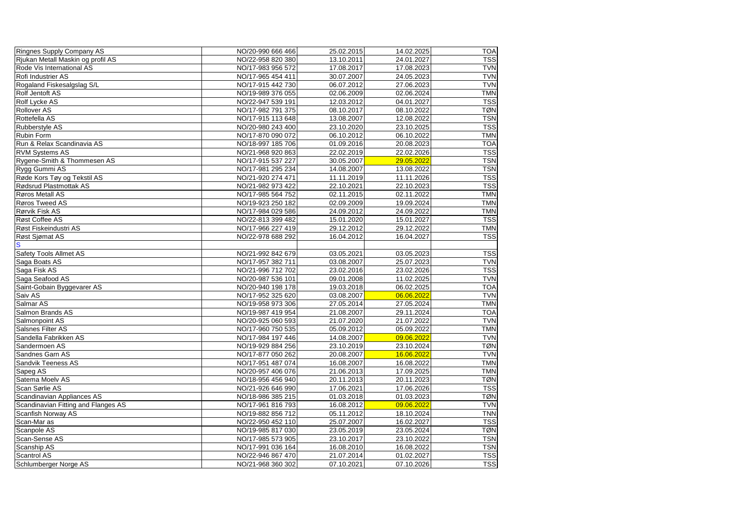| <b>Ringnes Supply Company AS</b>    | NO/20-990 666 466 | 25.02.2015 | 14.02.2025 | <b>TOA</b> |
|-------------------------------------|-------------------|------------|------------|------------|
| Rjukan Metall Maskin og profil AS   | NO/22-958 820 380 | 13.10.2011 | 24.01.2027 | <b>TSS</b> |
| Rode Vis International AS           | NO/17-983 956 572 | 17.08.2017 | 17.08.2023 | <b>TVN</b> |
| Rofi Industrier AS                  | NO/17-965 454 411 | 30.07.2007 | 24.05.2023 | <b>TVN</b> |
| Rogaland Fiskesalgslag S/L          | NO/17-915 442 730 | 06.07.2012 | 27.06.2023 | <b>TVN</b> |
| <b>Rolf Jentoft AS</b>              | NO/19-989 376 055 | 02.06.2009 | 02.06.2024 | <b>TMN</b> |
| <b>Rolf Lycke AS</b>                | NO/22-947 539 191 | 12.03.2012 | 04.01.2027 | <b>TSS</b> |
| <b>Rollover AS</b>                  | NO/17-982 791 375 | 08.10.2017 | 08.10.2022 | <b>TØN</b> |
| Rottefella AS                       | NO/17-915 113 648 | 13.08.2007 | 12.08.2022 | <b>TSN</b> |
| Rubberstyle AS                      | NO/20-980 243 400 | 23.10.2020 | 23.10.2025 | <b>TSS</b> |
| <b>Rubin Form</b>                   | NO/17-870 090 072 | 06.10.2012 | 06.10.2022 | <b>TMN</b> |
| Run & Relax Scandinavia AS          | NO/18-997 185 706 | 01.09.2016 | 20.08.2023 | <b>TOA</b> |
| <b>RVM Systems AS</b>               | NO/21-968 920 863 | 22.02.2019 | 22.02.2026 | <b>TSS</b> |
| Rygene-Smith & Thommesen AS         | NO/17-915 537 227 | 30.05.2007 | 29.05.2022 | <b>TSN</b> |
| Rygg Gummi AS                       | NO/17-981 295 234 | 14.08.2007 | 13.08.2022 | <b>TSN</b> |
| Røde Kors Tøy og Tekstil AS         | NO/21-920 274 471 | 11.11.2019 | 11.11.2026 | <b>TSS</b> |
| Rødsrud Plastmottak AS              | NO/21-982 973 422 | 22.10.2021 | 22.10.2023 | <b>TSS</b> |
| Røros Metall AS                     | NO/17-985 564 752 | 02.11.2015 | 02.11.2022 | <b>TMN</b> |
| Røros Tweed AS                      | NO/19-923 250 182 | 02.09.2009 | 19.09.2024 | <b>TMN</b> |
| Rørvik Fisk AS                      | NO/17-984 029 586 | 24.09.2012 | 24.09.2022 | <b>TMN</b> |
| Røst Coffee AS                      | NO/22-813 399 482 | 15.01.2020 | 15.01.2027 | <b>TSS</b> |
| Røst Fiskeindustri AS               | NO/17-966 227 419 | 29.12.2012 | 29.12.2022 | <b>TMN</b> |
| Røst Sjømat AS                      | NO/22-978 688 292 | 16.04.2012 | 16.04.2027 | <b>TSS</b> |
| S                                   |                   |            |            |            |
| <b>Safety Tools Allmet AS</b>       | NO/21-992 842 679 | 03.05.2021 | 03.05.2023 | <b>TSS</b> |
| Saga Boats AS                       | NO/17-957 382 711 | 03.08.2007 | 25.07.2023 | <b>TVN</b> |
| Saga Fisk AS                        | NO/21-996 712 702 | 23.02.2016 | 23.02.2026 | <b>TSS</b> |
| Saga Seafood AS                     | NO/20-987 536 101 | 09.01.2008 | 11.02.2025 | <b>TVN</b> |
| Saint-Gobain Byggevarer AS          | NO/20-940 198 178 | 19.03.2018 | 06.02.2025 | <b>TOA</b> |
| Saiv AS                             | NO/17-952 325 620 | 03.08.2007 | 06.06.2022 | <b>TVN</b> |
| Salmar <sub>AS</sub>                | NO/19-958 973 306 | 27.05.2014 | 27.05.2024 | <b>TMN</b> |
| <b>Salmon Brands AS</b>             | NO/19-987 419 954 | 21.08.2007 | 29.11.2024 | <b>TOA</b> |
| Salmonpoint AS                      | NO/20-925 060 593 | 21.07.2020 | 21.07.2022 | <b>TVN</b> |
| Salsnes Filter AS                   | NO/17-960 750 535 | 05.09.2012 | 05.09.2022 | <b>TMN</b> |
| Sandella Fabrikken AS               | NO/17-984 197 446 | 14.08.2007 | 09.06.2022 | <b>TVN</b> |
| Sandermoen AS                       | NO/19-929 884 256 | 23.10.2019 | 23.10.2024 | <b>TØN</b> |
| Sandnes Garn AS                     | NO/17-877 050 262 | 20.08.2007 | 16.06.2022 | <b>TVN</b> |
| <b>Sandvik Teeness AS</b>           | NO/17-951 487 074 | 16.08.2007 | 16.08.2022 | <b>TMN</b> |
| Sapeg AS                            | NO/20-957 406 076 | 21.06.2013 | 17.09.2025 | <b>TMN</b> |
| Satema Moelv AS                     | NO/18-956 456 940 | 20.11.2013 | 20.11.2023 | <b>TØN</b> |
| <b>Scan Sørlie AS</b>               | NO/21-926 646 990 | 17.06.2021 | 17.06.2026 | <b>TSS</b> |
| Scandinavian Appliances AS          | NO/18-986 385 215 | 01.03.2018 | 01.03.2023 | <b>TØN</b> |
| Scandinavian Fitting and Flanges AS | NO/17-961 816 793 | 16.08.2012 | 09.06.2022 | <b>TVN</b> |
| Scanfish Norway AS                  | NO/19-882 856 712 | 05.11.2012 | 18.10.2024 | <b>TNN</b> |
| Scan-Mar as                         | NO/22-950 452 110 | 25.07.2007 | 16.02.2027 | <b>TSS</b> |
| Scanpole AS                         | NO/19-985 817 030 | 23.05.2019 | 23.05.2024 | <b>TØN</b> |
| Scan-Sense AS                       | NO/17-985 573 905 | 23.10.2017 | 23.10.2022 | <b>TSN</b> |
| Scanship AS                         | NO/17-991 036 164 | 16.08.2010 | 16.08.2022 | <b>TSN</b> |
| <b>Scantrol AS</b>                  | NO/22-946 867 470 | 21.07.2014 | 01.02.2027 | <b>TSS</b> |
| Schlumberger Norge AS               | NO/21-968 360 302 |            |            | <b>TSS</b> |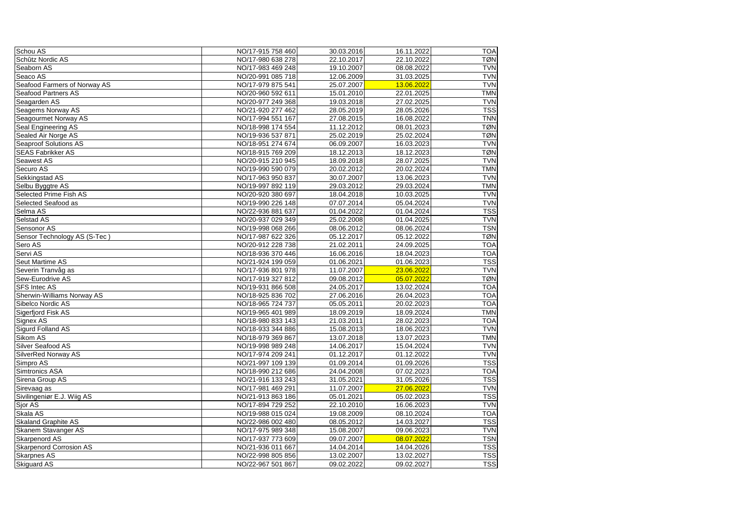| Schou AS                       | NO/17-915 758 460 | 30.03.2016 | 16.11.2022 | <b>TOA</b> |
|--------------------------------|-------------------|------------|------------|------------|
| Schûtz Nordic AS               | NO/17-980 638 278 | 22.10.2017 | 22.10.2022 | <b>TØN</b> |
| Seaborn AS                     | NO/17-983 469 248 | 19.10.2007 | 08.08.2022 | <b>TVN</b> |
| Seaco AS                       | NO/20-991 085 718 | 12.06.2009 | 31.03.2025 | <b>TVN</b> |
| Seafood Farmers of Norway AS   | NO/17-979 875 541 | 25.07.2007 | 13.06.2022 | <b>TVN</b> |
| <b>Seafood Partners AS</b>     | NO/20-960 592 611 | 15.01.2010 | 22.01.2025 | <b>TMN</b> |
| Seagarden AS                   | NO/20-977 249 368 | 19.03.2018 | 27.02.2025 | <b>TVN</b> |
| Seagems Norway AS              | NO/21-920 277 462 | 28.05.2019 | 28.05.2026 | <b>TSS</b> |
| Seagourmet Norway AS           | NO/17-994 551 167 | 27.08.2015 | 16.08.2022 | <b>TNN</b> |
| <b>Seal Engineering AS</b>     | NO/18-998 174 554 | 11.12.2012 | 08.01.2023 | <b>TØN</b> |
| Sealed Air Norge AS            | NO/19-936 537 871 | 25.02.2019 | 25.02.2024 | <b>TØN</b> |
| <b>Seaproof Solutions AS</b>   | NO/18-951 274 674 | 06.09.2007 | 16.03.2023 | <b>TVN</b> |
| <b>SEAS Fabrikker AS</b>       | NO/18-915 769 209 | 18.12.2013 | 18.12.2023 | <b>TØN</b> |
| <b>Seawest AS</b>              | NO/20-915 210 945 | 18.09.2018 | 28.07.2025 | <b>TVN</b> |
| Securo AS                      | NO/19-990 590 079 | 20.02.2012 | 20.02.2024 | <b>TMN</b> |
| Sekkingstad AS                 | NO/17-963 950 837 | 30.07.2007 | 13.06.2023 | <b>TVN</b> |
| Selbu Byggtre AS               | NO/19-997 892 119 | 29.03.2012 | 29.03.2024 | <b>TMN</b> |
| Selected Prime Fish AS         | NO/20-920 380 697 | 18.04.2018 | 10.03.2025 | <b>TVN</b> |
| <b>Selected Seafood as</b>     | NO/19-990 226 148 | 07.07.2014 | 05.04.2024 | <b>TVN</b> |
| Selma AS                       | NO/22-936 881 637 | 01.04.2022 | 01.04.2024 | <b>TSS</b> |
| <b>Selstad AS</b>              | NO/20-937 029 349 | 25.02.2008 | 01.04.2025 | <b>TVN</b> |
| <b>Sensonor AS</b>             | NO/19-998 068 266 | 08.06.2012 | 08.06.2024 | <b>TSN</b> |
| Sensor Technology AS (S-Tec)   | NO/17-987 622 326 | 05.12.2017 | 05.12.2022 | <b>TØN</b> |
| Sero AS                        | NO/20-912 228 738 | 21.02.2011 | 24.09.2025 | <b>TOA</b> |
| Servi AS                       | NO/18-936 370 446 | 16.06.2016 | 18.04.2023 | <b>TOA</b> |
| <b>Seut Martime AS</b>         | NO/21-924 199 059 | 01.06.2021 | 01.06.2023 | <b>TSS</b> |
| Severin Tranvåg as             | NO/17-936 801 978 | 11.07.2007 | 23.06.2022 | <b>TVN</b> |
| Sew-Eurodrive AS               | NO/17-919 327 812 | 09.08.2012 | 05.07.2022 | <b>TØN</b> |
| <b>SFS Intec AS</b>            | NO/19-931 866 508 | 24.05.2017 | 13.02.2024 | <b>TOA</b> |
| Sherwin-Williams Norway AS     | NO/18-925 836 702 | 27.06.2016 | 26.04.2023 | <b>TOA</b> |
| Sibelco Nordic AS              | NO/18-965 724 737 | 05.05.2011 | 20.02.2023 | <b>TOA</b> |
| Sigerfjord Fisk AS             | NO/19-965 401 989 | 18.09.2019 | 18.09.2024 | <b>TMN</b> |
| Signex AS                      | NO/18-980 833 143 | 21.03.2011 | 28.02.2023 | <b>TOA</b> |
| Sigurd Folland AS              | NO/18-933 344 886 | 15.08.2013 | 18.06.2023 | <b>TVN</b> |
| Sikom AS                       | NO/18-979 369 867 | 13.07.2018 | 13.07.2023 | <b>TMN</b> |
| Silver Seafood AS              | NO/19-998 989 248 | 14.06.2017 | 15.04.2024 | <b>TVN</b> |
| SilverRed Norway AS            | NO/17-974 209 241 | 01.12.2017 | 01.12.2022 | <b>TVN</b> |
| Simpro AS                      | NO/21-997 109 139 | 01.09.2014 | 01.09.2026 | <b>TSS</b> |
| Simtronics ASA                 | NO/18-990 212 686 | 24.04.2008 | 07.02.2023 | <b>TOA</b> |
| Sirena Group AS                | NO/21-916 133 243 | 31.05.2021 | 31.05.2026 | <b>TSS</b> |
| Sirevaag as                    | NO/17-981 469 291 | 11.07.2007 | 27.06.2022 | <b>TVN</b> |
| Sivilingeniør E.J. Wiig AS     | NO/21-913 863 186 | 05.01.2021 | 05.02.2023 | <b>TSS</b> |
| Sjor AS                        | NO/17-894 729 252 | 22.10.2010 | 16.06.2023 | <b>TVN</b> |
| Skala AS                       | NO/19-988 015 024 | 19.08.2009 | 08.10.2024 | <b>TOA</b> |
| <b>Skaland Graphite AS</b>     | NO/22-986 002 480 | 08.05.2012 | 14.03.2027 | <b>TSS</b> |
| <b>Skanem Stavanger AS</b>     | NO/17-975 989 348 | 15.08.2007 | 09.06.2023 | <b>TVN</b> |
| <b>Skarpenord AS</b>           | NO/17-937 773 609 | 09.07.2007 | 08.07.2022 | <b>TSN</b> |
| <b>Skarpenord Corrosion AS</b> | NO/21-936 011 667 | 14.04.2014 | 14.04.2026 | <b>TSS</b> |
| <b>Skarpnes AS</b>             | NO/22-998 805 856 | 13.02.2007 | 13.02.2027 | <b>TSS</b> |
| <b>Skiguard AS</b>             | NO/22-967 501 867 | 09.02.2022 | 09.02.2027 | <b>TSS</b> |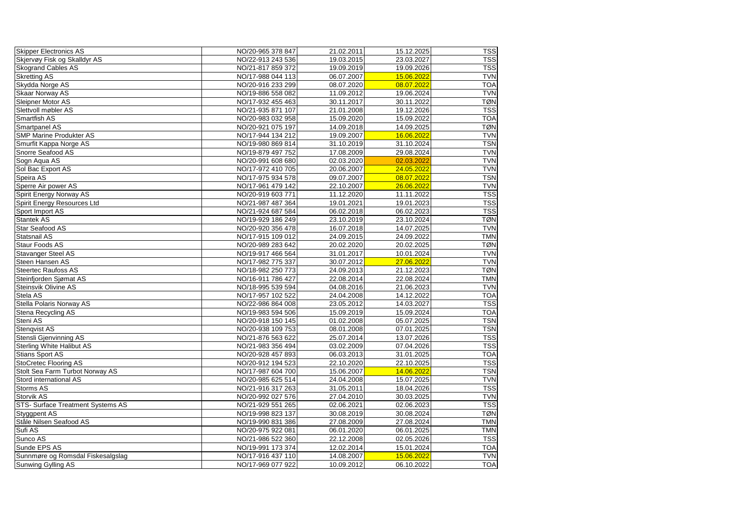| <b>Skipper Electronics AS</b>            | NO/20-965 378 847 | 21.02.2011 | 15.12.2025 | <b>TSS</b> |
|------------------------------------------|-------------------|------------|------------|------------|
| Skjervøy Fisk og Skalldyr AS             | NO/22-913 243 536 | 19.03.2015 | 23.03.2027 | <b>TSS</b> |
| <b>Skogrand Cables AS</b>                | NO/21-817 859 372 | 19.09.2019 | 19.09.2026 | <b>TSS</b> |
| <b>Skretting AS</b>                      | NO/17-988 044 113 | 06.07.2007 | 15.06.2022 | <b>TVN</b> |
| Skydda Norge AS                          | NO/20-916 233 299 | 08.07.2020 | 08.07.2022 | <b>TOA</b> |
| <b>Skaar Norway AS</b>                   | NO/19-886 558 082 | 11.09.2012 | 19.06.2024 | <b>TVN</b> |
| Sleipner Motor AS                        | NO/17-932 455 463 | 30.11.2017 | 30.11.2022 | <b>TØN</b> |
| Slettvoll møbler AS                      | NO/21-935 871 107 | 21.01.2008 | 19.12.2026 | <b>TSS</b> |
| <b>Smartfish AS</b>                      | NO/20-983 032 958 | 15.09.2020 | 15.09.2022 | <b>TOA</b> |
| <b>Smartpanel AS</b>                     | NO/20-921 075 197 | 14.09.2018 | 14.09.2025 | <b>TØN</b> |
| <b>SMP Marine Produkter AS</b>           | NO/17-944 134 212 | 19.09.2007 | 16.06.2022 | <b>TVN</b> |
| Smurfit Kappa Norge AS                   | NO/19-980 869 814 | 31.10.2019 | 31.10.2024 | <b>TSN</b> |
| Snorre Seafood AS                        | NO/19-879 497 752 | 17.08.2009 | 29.08.2024 | <b>TVN</b> |
| Sogn Aqua AS                             | NO/20-991 608 680 | 02.03.2020 | 02.03.2022 | <b>TVN</b> |
| Sol Bac Export AS                        | NO/17-972 410 705 | 20.06.2007 | 24.05.2022 | <b>TVN</b> |
| Speira AS                                | NO/17-975 934 578 | 09.07.2007 | 08.07.2022 | <b>TSN</b> |
| Sperre Air power AS                      | NO/17-961 479 142 | 22.10.2007 | 26.06.2022 | <b>TVN</b> |
| Spirit Energy Norway AS                  | NO/20-919 603 771 | 11.12.2020 | 11.11.2022 | <b>TSS</b> |
| <b>Spirit Energy Resources Ltd</b>       | NO/21-987 487 364 | 19.01.2021 | 19.01.2023 | <b>TSS</b> |
| Sport Import AS                          | NO/21-924 687 584 | 06.02.2018 | 06.02.2023 | <b>TSS</b> |
| <b>Stantek AS</b>                        | NO/19-929 186 249 | 23.10.2019 | 23.10.2024 | <b>TØN</b> |
| <b>Star Seafood AS</b>                   | NO/20-920 356 478 | 16.07.2018 | 14.07.2025 | <b>TVN</b> |
| <b>Statsnail AS</b>                      | NO/17-915 109 012 | 24.09.2015 | 24.09.2022 | <b>TMN</b> |
| <b>Staur Foods AS</b>                    | NO/20-989 283 642 | 20.02.2020 | 20.02.2025 | <b>TØN</b> |
| <b>Stavanger Steel AS</b>                | NO/19-917 466 564 | 31.01.2017 | 10.01.2024 | <b>TVN</b> |
| <b>Steen Hansen AS</b>                   | NO/17-982 775 337 | 30.07.2012 | 27.06.2022 | <b>TVN</b> |
| <b>Steertec Raufoss AS</b>               | NO/18-982 250 773 | 24.09.2013 | 21.12.2023 | <b>TØN</b> |
| Steinfjorden Sjømat AS                   | NO/16-911 786 427 | 22.08.2014 | 22.08.2024 | <b>TMN</b> |
| <b>Steinsvik Olivine AS</b>              | NO/18-995 539 594 | 04.08.2016 | 21.06.2023 | <b>TVN</b> |
| Stela AS                                 | NO/17-957 102 522 | 24.04.2008 | 14.12.2022 | <b>TOA</b> |
| <b>Stella Polaris Norway AS</b>          | NO/22-986 864 008 | 23.05.2012 | 14.03.2027 | <b>TSS</b> |
| Stena Recycling AS                       | NO/19-983 594 506 | 15.09.2019 | 15.09.2024 | <b>TOA</b> |
| Steni AS                                 | NO/20-918 150 145 | 01.02.2008 | 05.07.2025 | <b>TSN</b> |
| <b>Stenqvist AS</b>                      | NO/20-938 109 753 | 08.01.2008 | 07.01.2025 | <b>TSN</b> |
| Stensli Gjenvinning AS                   | NO/21-876 563 622 | 25.07.2014 | 13.07.2026 | <b>TSS</b> |
| <b>Sterling White Halibut AS</b>         | NO/21-983 356 494 | 03.02.2009 | 07.04.2026 | <b>TSS</b> |
| Stians Sport AS                          | NO/20-928 457 893 | 06.03.2013 | 31.01.2025 | <b>TOA</b> |
| StoCretec Flooring AS                    | NO/20-912 194 523 | 22.10.2020 | 22.10.2025 | <b>TSS</b> |
| Stolt Sea Farm Turbot Norway AS          | NO/17-987 604 700 | 15.06.2007 | 14.06.2022 | <b>TSN</b> |
| Stord international AS                   | NO/20-985 625 514 | 24.04.2008 | 15.07.2025 | <b>TVN</b> |
| <b>Storms AS</b>                         | NO/21-916 317 263 | 31.05.2011 | 18.04.2026 | <b>TSS</b> |
| <b>Storvik AS</b>                        | NO/20-992 027 576 | 27.04.2010 | 30.03.2025 | <b>TVN</b> |
| <b>STS- Surface Treatment Systems AS</b> | NO/21-929 551 265 | 02.06.2021 | 02.06.2023 | <b>TSS</b> |
| Styggpent AS                             | NO/19-998 823 137 | 30.08.2019 | 30.08.2024 | <b>TØN</b> |
| Ståle Nilsen Seafood AS                  | NO/19-990 831 386 | 27.08.2009 | 27.08.2024 | <b>TMN</b> |
| Sufi AS                                  | NO/20-975 922 081 | 06.01.2020 | 06.01.2025 | <b>TMN</b> |
| Sunco AS                                 | NO/21-986 522 360 | 22.12.2008 | 02.05.2026 | <b>TSS</b> |
| Sunde EPS AS                             | NO/19-991 173 374 | 12.02.2014 | 15.01.2024 | <b>TOA</b> |
| Sunnmøre og Romsdal Fiskesalgslag        | NO/17-916 437 110 | 14.08.2007 | 15.06.2022 | <b>TVN</b> |
| Sunwing Gylling AS                       | NO/17-969 077 922 | 10.09.2012 | 06.10.2022 | <b>TOA</b> |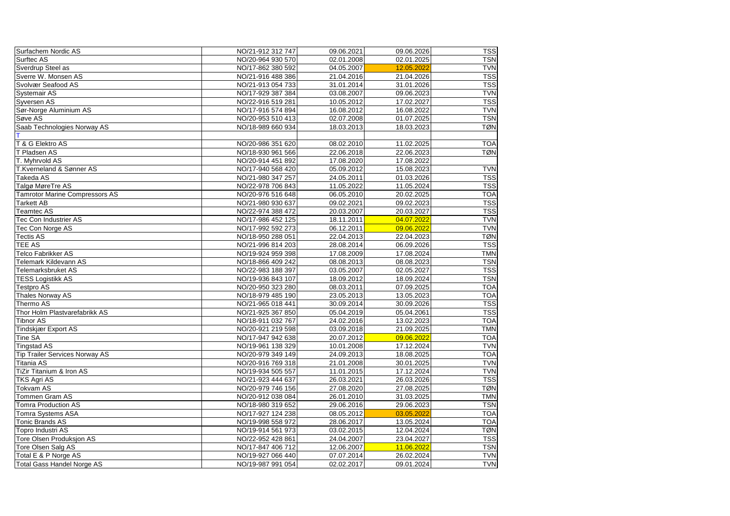| <b>Surfachem Nordic AS</b>            | NO/21-912 312 747 | 09.06.2021 | 09.06.2026 | <b>TSS</b> |
|---------------------------------------|-------------------|------------|------------|------------|
| Surftec AS                            | NO/20-964 930 570 | 02.01.2008 | 02.01.2025 | <b>TSN</b> |
| Sverdrup Steel as                     | NO/17-862 380 592 | 04.05.2007 | 12.05.2022 | <b>TVN</b> |
| Sverre W. Monsen AS                   | NO/21-916 488 386 | 21.04.2016 | 21.04.2026 | <b>TSS</b> |
| Svolvær Seafood AS                    | NO/21-913 054 733 | 31.01.2014 | 31.01.2026 | <b>TSS</b> |
| <b>Systemair AS</b>                   | NO/17-929 387 384 | 03.08.2007 | 09.06.2023 | <b>TVN</b> |
| <b>Syversen AS</b>                    | NO/22-916 519 281 | 10.05.2012 | 17.02.2027 | <b>TSS</b> |
| Sør-Norge Aluminium AS                | NO/17-916 574 894 | 16.08.2012 | 16.08.2022 | <b>TVN</b> |
| Søve AS                               | NO/20-953 510 413 | 02.07.2008 | 01.07.2025 | <b>TSN</b> |
| Saab Technologies Norway AS           | NO/18-989 660 934 | 18.03.2013 | 18.03.2023 | <b>TØN</b> |
|                                       |                   |            |            |            |
| T & G Elektro AS                      | NO/20-986 351 620 | 08.02.2010 | 11.02.2025 | <b>TOA</b> |
| T Pladsen AS                          | NO/18-930 961 566 | 22.06.2018 | 22.06.2023 | <b>TØN</b> |
| T. Myhrvold AS                        | NO/20-914 451 892 | 17.08.2020 | 17.08.2022 |            |
| T.Kverneland & Sønner AS              | NO/17-940 568 420 | 05.09.2012 | 15.08.2023 | <b>TVN</b> |
| Takeda AS                             | NO/21-980 347 257 | 24.05.2011 | 01.03.2026 | <b>TSS</b> |
| Talgø MøreTre AS                      | NO/22-978 706 843 | 11.05.2022 | 11.05.2024 | <b>TSS</b> |
| <b>Tamrotor Marine Compressors AS</b> | NO/20-976 516 648 | 06.05.2010 | 20.02.2025 | <b>TOA</b> |
| <b>Tarkett AB</b>                     | NO/21-980 930 637 | 09.02.2021 | 09.02.2023 | <b>TSS</b> |
| Teamtec AS                            | NO/22-974 388 472 | 20.03.2007 | 20.03.2027 | <b>TSS</b> |
| <b>Tec Con Industrier AS</b>          | NO/17-986 452 125 | 18.11.2011 | 04.07.2022 | <b>TVN</b> |
| Tec Con Norge AS                      | NO/17-992 592 273 | 06.12.2011 | 09.06.2022 | <b>TVN</b> |
| <b>Tectis AS</b>                      | NO/18-950 288 051 | 22.04.2013 | 22.04.2023 | <b>TØN</b> |
| <b>TEE AS</b>                         | NO/21-996 814 203 | 28.08.2014 | 06.09.2026 | <b>TSS</b> |
| Telco Fabrikker AS                    | NO/19-924 959 398 | 17.08.2009 | 17.08.2024 | <b>TMN</b> |
| Telemark Kildevann AS                 | NO/18-866 409 242 | 08.08.2013 | 08.08.2023 | <b>TSN</b> |
| Telemarksbruket AS                    | NO/22-983 188 397 | 03.05.2007 | 02.05.2027 | <b>TSS</b> |
| <b>TESS Logistikk AS</b>              | NO/19-936 843 107 | 18.09.2012 | 18.09.2024 | <b>TSN</b> |
| <b>Testpro AS</b>                     | NO/20-950 323 280 | 08.03.2011 | 07.09.2025 | <b>TOA</b> |
| Thales Norway AS                      | NO/18-979 485 190 | 23.05.2013 | 13.05.2023 | <b>TOA</b> |
| Thermo AS                             | NO/21-965 018 441 | 30.09.2014 | 30.09.2026 | <b>TSS</b> |
| Thor Holm Plastvarefabrikk AS         | NO/21-925 367 850 | 05.04.2019 | 05.04.2061 | <b>TSS</b> |
| Tibnor AS                             | NO/18-911 032 767 | 24.02.2016 | 13.02.2023 | <b>TOA</b> |
| Tindskjær Export AS                   | NO/20-921 219 598 | 03.09.2018 | 21.09.2025 | <b>TMN</b> |
| <b>Tine SA</b>                        | NO/17-947 942 638 | 20.07.2012 | 09.06.2022 | <b>TOA</b> |
| <b>Tingstad AS</b>                    | NO/19-961 138 329 | 10.01.2008 | 17.12.2024 | <b>TVN</b> |
| <b>Tip Trailer Services Norway AS</b> | NO/20-979 349 149 | 24.09.2013 | 18.08.2025 | <b>TOA</b> |
| Titania AS                            | NO/20-916 769 318 | 21.01.2008 | 30.01.2025 | <b>TVN</b> |
| TiZir Titanium & Iron AS              | NO/19-934 505 557 | 11.01.2015 | 17.12.2024 | <b>TVN</b> |
| <b>TKS Agri AS</b>                    | NO/21-923 444 637 | 26.03.2021 | 26.03.2026 | <b>TSS</b> |
| <b>Tokvam AS</b>                      | NO/20-979 746 156 | 27.08.2020 | 27.08.2025 | <b>TØN</b> |
| <b>Tommen Gram AS</b>                 | NO/20-912 038 084 | 26.01.2010 | 31.03.2025 | <b>TMN</b> |
| <b>Tomra Production AS</b>            | NO/18-980 319 652 | 29.06.2016 | 29.06.2023 | <b>TSN</b> |
| <b>Tomra Systems ASA</b>              | NO/17-927 124 238 | 08.05.2012 | 03.05.2022 | <b>TOA</b> |
| <b>Tonic Brands AS</b>                | NO/19-998 558 972 | 28.06.2017 | 13.05.2024 | <b>TOA</b> |
| Topro Industri AS                     | NO/19-914 561 973 | 03.02.2015 | 12.04.2024 | <b>TØN</b> |
| Tore Olsen Produksjon AS              | NO/22-952 428 861 | 24.04.2007 | 23.04.2027 | <b>TSS</b> |
| Tore Olsen Salg AS                    | NO/17-847 406 712 | 12.06.2007 | 11.06.2022 | <b>TSN</b> |
| Total E & P Norge AS                  | NO/19-927 066 440 | 07.07.2014 | 26.02.2024 | <b>TVN</b> |
| <b>Total Gass Handel Norge AS</b>     | NO/19-987 991 054 | 02.02.2017 | 09.01.2024 | <b>TVN</b> |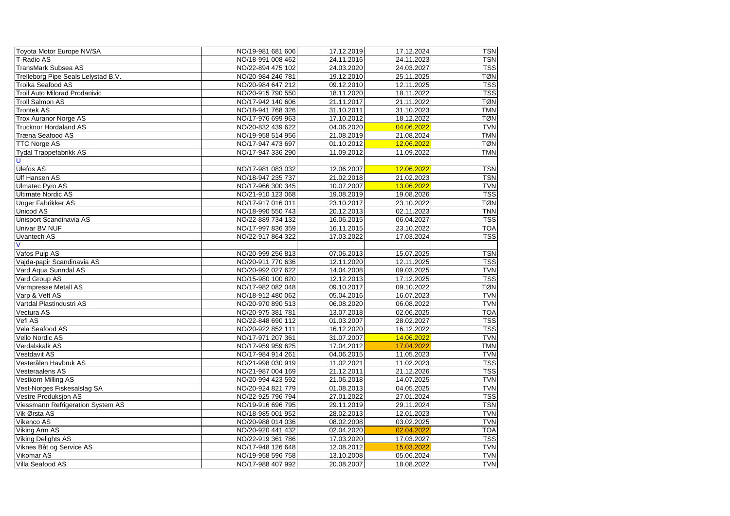| Toyota Motor Europe NV/SA            | NO/19-981 681 606 | 17.12.2019 | 17.12.2024 | <b>TSN</b> |
|--------------------------------------|-------------------|------------|------------|------------|
| T-Radio AS                           | NO/18-991 008 462 | 24.11.2016 | 24.11.2023 | <b>TSN</b> |
| TransMark Subsea AS                  | NO/22-894 475 102 | 24.03.2020 | 24.03.2027 | <b>TSS</b> |
| Trelleborg Pipe Seals Lelystad B.V.  | NO/20-984 246 781 | 19.12.2010 | 25.11.2025 | <b>TØN</b> |
| Troika Seafood AS                    | NO/20-984 647 212 | 09.12.2010 | 12.11.2025 | <b>TSS</b> |
| <b>Troll Auto Milorad Prodanivic</b> | NO/20-915 790 550 | 18.11.2020 | 18.11.2022 | <b>TSS</b> |
| <b>Troll Salmon AS</b>               | NO/17-942 140 606 | 21.11.2017 | 21.11.2022 | <b>TØN</b> |
| Trontek AS                           | NO/18-941 768 326 | 31.10.2011 | 31.10.2023 | <b>TMN</b> |
| <b>Trox Auranor Norge AS</b>         | NO/17-976 699 963 | 17.10.2012 | 18.12.2022 | <b>TØN</b> |
| <b>Trucknor Hordaland AS</b>         | NO/20-832 439 622 | 04.06.2020 | 04.06.2022 | <b>TVN</b> |
| Træna Seafood AS                     | NO/19-958 514 956 | 21.08.2019 | 21.08.2024 | <b>TMN</b> |
| <b>TTC Norge AS</b>                  | NO/17-947 473 697 | 01.10.2012 | 12.06.2022 | <b>TØN</b> |
| Tydal Trappefabrikk AS               | NO/17-947 336 290 | 11.09.2012 | 11.09.2022 | <b>TMN</b> |
| IJ                                   |                   |            |            |            |
| Ulefos AS                            | NO/17-981 083 032 | 12.06.2007 | 12.06.2022 | <b>TSN</b> |
| Ulf Hansen AS                        | NO/18-947 235 737 | 21.02.2018 | 21.02.2023 | <b>TSN</b> |
| Ulmatec Pyro AS                      | NO/17-966 300 345 | 10.07.2007 | 13.06.2022 | <b>TVN</b> |
| Ultimate Nordic AS                   | NO/21-910 123 068 | 19.08.2019 | 19.08.2026 | <b>TSS</b> |
| Unger Fabrikker AS                   | NO/17-917 016 011 | 23.10.2017 | 23.10.2022 | <b>TØN</b> |
| <b>Unicod AS</b>                     | NO/18-990 550 743 | 20.12.2013 | 02.11.2023 | <b>TNN</b> |
| Unisport Scandinavia AS              | NO/22-889 734 132 | 16.06.2015 | 06.04.2027 | <b>TSS</b> |
| <b>Univar BV NUF</b>                 | NO/17-997 836 359 | 16.11.2015 | 23.10.2022 | <b>TOA</b> |
| Uvantech AS                          | NO/22-917 864 322 | 17.03.2022 | 17.03.2024 | <b>TSS</b> |
|                                      |                   |            |            |            |
| Vafos Pulp AS                        | NO/20-999 256 813 | 07.06.2013 | 15.07.2025 | <b>TSN</b> |
| Vajda-papir Scandinavia AS           | NO/20-911 770 636 | 12.11.2020 | 12.11.2025 | <b>TSS</b> |
| Vard Aqua Sunndal AS                 | NO/20-992 027 622 | 14.04.2008 | 09.03.2025 | <b>TVN</b> |
| Vard Group AS                        | NO/15-980 100 820 | 12.12.2013 | 17.12.2025 | <b>TSS</b> |
| Varmpresse Metall AS                 | NO/17-982 082 048 | 09.10.2017 | 09.10.2022 | <b>TØN</b> |
| Varp & Veft AS                       | NO/18-912 480 062 | 05.04.2016 | 16.07.2023 | <b>TVN</b> |
| Vartdal Plastindustri AS             | NO/20-970 890 513 | 06.08.2020 | 06.08.2022 | <b>TVN</b> |
| Vectura AS                           | NO/20-975 381 781 | 13.07.2018 | 02.06.2025 | <b>TOA</b> |
| Vefi AS                              | NO/22-848 690 112 | 01.03.2007 | 28.02.2027 | <b>TSS</b> |
| Vela Seafood AS                      | NO/20-922 852 111 | 16.12.2020 | 16.12.2022 | <b>TSS</b> |
| Vello Nordic AS                      | NO/17-971 207 361 | 31.07.2007 | 14.06.2022 | <b>TVN</b> |
| Verdalskalk AS                       | NO/17-959 959 625 | 17.04.2012 | 17.04.2022 | <b>TMN</b> |
| <b>Vestdavit AS</b>                  | NO/17-984 914 261 | 04.06.2015 | 11.05.2023 | <b>TVN</b> |
| Vesterålen Havbruk AS                | NO/21-998 030 919 | 11.02.2021 | 11.02.2023 | <b>TSS</b> |
| <b>Vesteraalens AS</b>               | NO/21-987 004 169 | 21.12.2011 | 21.12.2026 | <b>TSS</b> |
| Vestkorn Milling AS                  | NO/20-994 423 592 | 21.06.2018 | 14.07.2025 | <b>TVN</b> |
| Vest-Norges Fiskesalslag SA          | NO/20-924 821 779 | 01.08.2013 | 04.05.2025 | <b>TVN</b> |
| Vestre Produksjon AS                 | NO/22-925 796 794 | 27.01.2022 | 27.01.2024 | <b>TSS</b> |
| Viessmann Refrigeration System AS    | NO/19-916 696 795 | 29.11.2019 | 29.11.2024 | <b>TSN</b> |
| Vik Ørsta AS                         | NO/18-985 001 952 | 28.02.2013 | 12.01.2023 | <b>TVN</b> |
| Vikenco AS                           | NO/20-988 014 036 | 08.02.2008 | 03.02.2025 | <b>TVN</b> |
| Viking Arm AS                        | NO/20-920 441 432 | 02.04.2020 | 02.04.2022 | <b>TOA</b> |
| <b>Viking Delights AS</b>            | NO/22-919 361 786 | 17.03.2020 | 17.03.2027 | <b>TSS</b> |
| Viknes Båt og Service AS             | NO/17-948 126 648 | 12.08.2012 | 15.03.2022 | <b>TVN</b> |
| Vikomar AS                           | NO/19-958 596 758 | 13.10.2008 | 05.06.2024 | <b>TVN</b> |
| Villa Seafood AS                     | NO/17-988 407 992 | 20.08.2007 | 18.08.2022 | <b>TVN</b> |
|                                      |                   |            |            |            |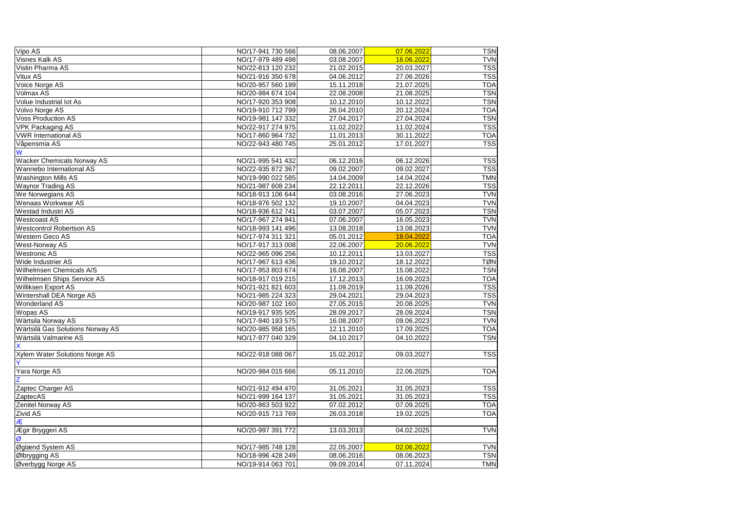| Vipo AS                               | NO/17-941 730 566 | 08.06.2007 | 07.06.2022 | <b>TSN</b> |
|---------------------------------------|-------------------|------------|------------|------------|
| <b>Visnes Kalk AS</b>                 | NO/17-979 489 498 | 03.08.2007 | 16.06.2022 | <b>TVN</b> |
| Vistin Pharma AS                      | NO/22-813 120 232 | 21.02.2015 | 20.03.2027 | <b>TSS</b> |
| Vitux AS                              | NO/21-916 350 678 | 04.06.2012 | 27.06.2026 | <b>TSS</b> |
| Voice Norge AS                        | NO/20-957 560 199 | 15.11.2018 | 21.07.2025 | <b>TOA</b> |
| Volmax AS                             | NO/20-984 674 104 | 22.08.2008 | 21.08.2025 | <b>TSN</b> |
| Volue Industrial lot As               | NO/17-920 353 908 | 10.12.2010 | 10.12.2022 | <b>TSN</b> |
| Volvo Norge AS                        | NO/19-910 712 799 | 26.04.2010 | 20.12.2024 | <b>TOA</b> |
| <b>Voss Production AS</b>             | NO/19-981 147 332 | 27.04.2017 | 27.04.2024 | <b>TSN</b> |
| <b>VPK Packaging AS</b>               | NO/22-917 274 975 | 11.02.2022 | 11.02.2024 | <b>TSS</b> |
| <b>VWR International AS</b>           | NO/17-860 964 732 | 11.01.2013 | 30.11.2022 | <b>TOA</b> |
| Våpensmia AS                          | NO/22-943 480 745 | 25.01.2012 | 17.01.2027 | <b>TSS</b> |
| W                                     |                   |            |            |            |
| <b>Wacker Chemicals Norway AS</b>     | NO/21-995 541 432 | 06.12.2016 | 06.12.2026 | <b>TSS</b> |
| Wannebo International AS              | NO/22-935 872 367 | 09.02.2007 | 09.02.2027 | <b>TSS</b> |
| <b>Washington Mills AS</b>            | NO/19-990 022 585 | 14.04.2009 | 14.04.2024 | <b>TMN</b> |
| <b>Waynor Trading AS</b>              | NO/21-987 608 234 | 22.12.2011 | 22.12.2026 | <b>TSS</b> |
| We Norwegians AS                      | NO/18-913 106 644 | 03.08.2016 | 27.06.2023 | <b>TVN</b> |
| <b>Wenaas Workwear AS</b>             | NO/18-976 502 132 | 19.10.2007 | 04.04.2023 | <b>TVN</b> |
| Westad Industri AS                    | NO/18-936 612 741 | 03.07.2007 | 05.07.2023 | <b>TSN</b> |
| <b>Westcoast AS</b>                   | NO/17-967 274 941 | 07.06.2007 | 16.05.2023 | <b>TVN</b> |
| <b>Westcontrol Robertson AS</b>       | NO/18-993 141 496 | 13.08.2018 | 13.08.2023 | <b>TVN</b> |
| Western Geco AS                       | NO/17-974 311 321 | 05.01.2012 | 18.04.2022 | <b>TOA</b> |
| West-Norway AS                        | NO/17-917 313 008 | 22.06.2007 | 20.06.2022 | <b>TVN</b> |
| <b>Westronic AS</b>                   | NO/22-965 096 256 | 10.12.2011 | 13.03.2027 | <b>TSS</b> |
| Wide Industrier AS                    | NO/17-967 613 436 | 19.10.2012 | 18.12.2022 | <b>TØN</b> |
| Wilhelmsen Chemicals A/S              | NO/17-953 803 674 | 16.08.2007 | 15.08.2022 | <b>TSN</b> |
| <b>Wilhelmsen Ships Service AS</b>    | NO/18-917 019 215 | 17.12.2013 | 16.09.2023 | <b>TOA</b> |
| Williksen Export AS                   | NO/21-921 821 603 | 11.09.2019 | 11.09.2026 | <b>TSS</b> |
| Wintershall DEA Norge AS              | NO/21-985 224 323 | 29.04.2021 | 29.04.2023 | <b>TSS</b> |
| <b>Wonderland AS</b>                  | NO/20-987 102 160 | 27.05.2015 | 20.08.2025 | <b>TVN</b> |
| Wopas AS                              | NO/19-917 935 505 | 28.09.2017 | 28.09.2024 | <b>TSN</b> |
| Wärtsila Norway AS                    | NO/17-940 193 575 | 16.08.2007 | 09.06.2023 | <b>TVN</b> |
| Wärtsilä Gas Solutions Norway AS      | NO/20-985 958 165 | 12.11.2010 | 17.09.2025 | <b>TOA</b> |
| Wärtsilä Valmarine AS                 | NO/17-977 040 329 | 04.10.2017 | 04.10.2022 | <b>TSN</b> |
| X                                     |                   |            |            |            |
| <b>Xylem Water Solutions Norge AS</b> | NO/22-918 088 067 | 15.02.2012 | 09.03.2027 | <b>TSS</b> |
| Ÿ                                     |                   |            |            |            |
| Yara Norge AS                         | NO/20-984 015 666 | 05.11.2010 | 22.06.2025 | <b>TOA</b> |
| 7                                     |                   |            |            |            |
| Zaptec Charger AS                     | NO/21-912 494 470 | 31.05.2021 | 31.05.2023 | <b>TSS</b> |
| ZaptecAS                              | NO/21-999 164 137 | 31.05.2021 | 31.05.2023 | <b>TSS</b> |
| Zenitel Norway AS                     | NO/20-863 503 922 | 07.02.2012 | 07.09.2025 | <b>TOA</b> |
| Zivid AS                              | NO/20-915 713 769 | 26.03.2018 | 19.02.2025 | <b>TOA</b> |
| Æ                                     |                   |            |            |            |
| Ægir Bryggeri AS                      | NO/20-997 391 772 | 13.03.2013 | 04.02.2025 | <b>TVN</b> |
| Ø                                     |                   |            |            |            |
| Øglænd System AS                      | NO/17-985 748 128 | 22.05.2007 | 02.06.2022 | <b>TVN</b> |
| Ølbrygging AS                         | NO/18-996 428 249 | 08.06.2016 | 08.06.2023 | <b>TSN</b> |
| Øverbygg Norge AS                     | NO/19-914 063 701 | 09.09.2014 | 07.11.2024 | <b>TMN</b> |